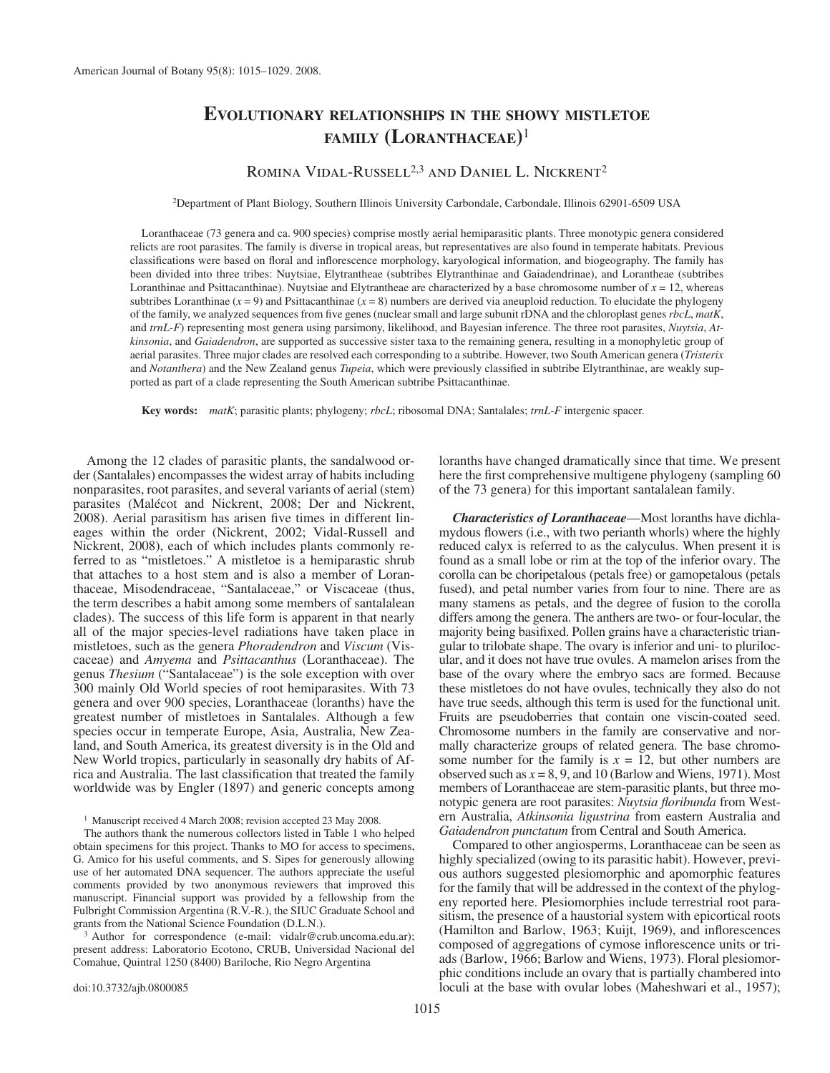# **EVOLUTIONARY RELATIONSHIPS IN THE SHOWY MISTLETOE FAMILY (LORANTHACEAE)** <sup>1</sup>

# ROMINA VIDAL-RUSSELL<sup>2,3</sup> AND DANIEL L. NICKRENT<sup>2</sup>

2 Department of Plant Biology, Southern Illinois University Carbondale, Carbondale, Illinois 62901-6509 USA

 Loranthaceae (73 genera and ca. 900 species) comprise mostly aerial hemiparasitic plants. Three monotypic genera considered relicts are root parasites. The family is diverse in tropical areas, but representatives are also found in temperate habitats. Previous classifications were based on floral and inflorescence morphology, karyological information, and biogeography. The family has been divided into three tribes: Nuytsiae, Elytrantheae (subtribes Elytranthinae and Gaiadendrinae), and Lorantheae (subtribes Loranthinae and Psittacanthinae). Nuytsiae and Elytrantheae are characterized by a base chromosome number of *x* = 12, whereas subtribes Loranthinae  $(x = 9)$  and Psittacanthinae  $(x = 8)$  numbers are derived via aneuploid reduction. To elucidate the phylogeny of the family, we analyzed sequences from five genes (nuclear small and large subunit rDNA and the chloroplast genes *rbcL*, matK, and *trnL-F* ) representing most genera using parsimony, likelihood, and Bayesian inference. The three root parasites, *Nuytsia* , *Atkinsonia* , and *Gaiadendron* , are supported as successive sister taxa to the remaining genera, resulting in a monophyletic group of aerial parasites. Three major clades are resolved each corresponding to a subtribe. However, two South American genera ( *Tristerix* and *Notanthera*) and the New Zealand genus *Tupeia*, which were previously classified in subtribe Elytranthinae, are weakly supported as part of a clade representing the South American subtribe Psittacanthinae.

 **Key words:** *matK* ; parasitic plants; phylogeny; *rbcL* ; ribosomal DNA; Santalales; *trnL-F* intergenic spacer.

 Among the 12 clades of parasitic plants, the sandalwood order (Santalales) encompasses the widest array of habits including nonparasites, root parasites, and several variants of aerial (stem) parasites (Malécot and Nickrent, 2008; Der and Nickrent, 2008). Aerial parasitism has arisen five times in different lineages within the order (Nickrent, 2002; Vidal-Russell and Nickrent, 2008), each of which includes plants commonly referred to as "mistletoes." A mistletoe is a hemiparastic shrub that attaches to a host stem and is also a member of Loranthaceae, Misodendraceae, "Santalaceae," or Viscaceae (thus, the term describes a habit among some members of santalalean clades). The success of this life form is apparent in that nearly all of the major species-level radiations have taken place in mistletoes, such as the genera *Phoradendron* and *Viscum* (Viscaceae) and *Amyema* and *Psittacanthus* (Loranthaceae). The genus *Thesium* ("Santalaceae") is the sole exception with over 300 mainly Old World species of root hemiparasites. With 73 genera and over 900 species, Loranthaceae (loranths) have the greatest number of mistletoes in Santalales. Although a few species occur in temperate Europe, Asia, Australia, New Zealand, and South America, its greatest diversity is in the Old and New World tropics, particularly in seasonally dry habits of Africa and Australia. The last classification that treated the family worldwide was by Engler (1897) and generic concepts among

<sup>1</sup> Manuscript received 4 March 2008; revision accepted 23 May 2008.

 The authors thank the numerous collectors listed in Table 1 who helped obtain specimens for this project. Thanks to MO for access to specimens, G. Amico for his useful comments, and S. Sipes for generously allowing use of her automated DNA sequencer. The authors appreciate the useful comments provided by two anonymous reviewers that improved this manuscript. Financial support was provided by a fellowship from the Fulbright Commission Argentina (R.V.-R.), the SIUC Graduate School and

 $3$  Author for correspondence (e-mail: vidalr@crub.uncoma.edu.ar); present address: Laboratorio Ecotono, CRUB, Universidad Nacional del Comahue, Quintral 1250 (8400) Bariloche, Rio Negro Argentina

doi:10.3732/ajb.0800085

loranths have changed dramatically since that time. We present here the first comprehensive multigene phylogeny (sampling 60) of the 73 genera) for this important santalalean family.

*Characteristics of Loranthaceae*— Most loranths have dichlamydous flowers (i.e., with two perianth whorls) where the highly reduced calyx is referred to as the calyculus. When present it is found as a small lobe or rim at the top of the inferior ovary. The corolla can be choripetalous (petals free) or gamopetalous (petals fused), and petal number varies from four to nine. There are as many stamens as petals, and the degree of fusion to the corolla differs among the genera. The anthers are two- or four-locular, the majority being basifixed. Pollen grains have a characteristic triangular to trilobate shape. The ovary is inferior and uni- to plurilocular, and it does not have true ovules. A mamelon arises from the base of the ovary where the embryo sacs are formed. Because these mistletoes do not have ovules, technically they also do not have true seeds, although this term is used for the functional unit. Fruits are pseudoberries that contain one viscin-coated seed. Chromosome numbers in the family are conservative and normally characterize groups of related genera. The base chromosome number for the family is  $x = 12$ , but other numbers are observed such as  $x = 8, 9$ , and 10 (Barlow and Wiens, 1971). Most members of Loranthaceae are stem-parasitic plants, but three monotypic genera are root parasites: *Nuytsia floribunda* from Western Australia, *Atkinsonia ligustrina* from eastern Australia and *Gaiadendron punctatum* from Central and South America.

 Compared to other angiosperms, Loranthaceae can be seen as highly specialized (owing to its parasitic habit). However, previous authors suggested plesiomorphic and apomorphic features for the family that will be addressed in the context of the phylogeny reported here. Plesiomorphies include terrestrial root parasitism, the presence of a haustorial system with epicortical roots (Hamilton and Barlow, 1963; Kuijt, 1969), and inflorescences composed of aggregations of cymose inflorescence units or triads (Barlow, 1966; Barlow and Wiens, 1973). Floral plesiomorphic conditions include an ovary that is partially chambered into loculi at the base with ovular lobes (Maheshwari et al., 1957);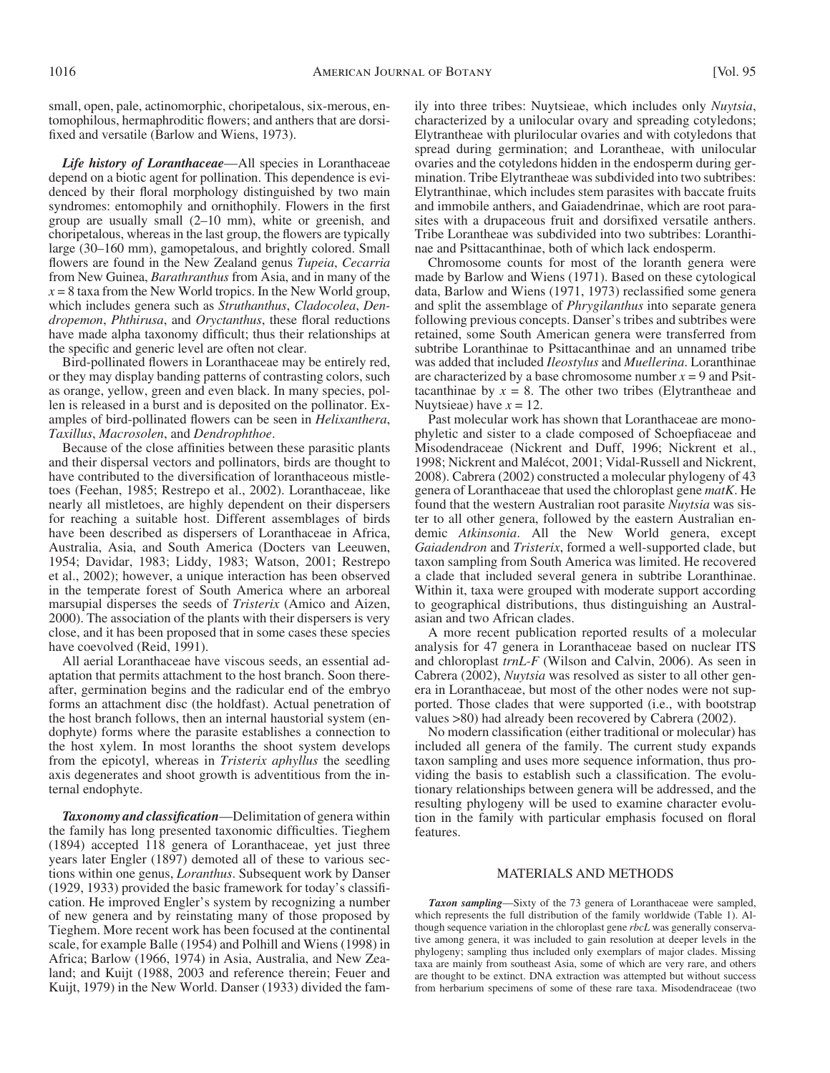small, open, pale, actinomorphic, choripetalous, six-merous, entomophilous, hermaphroditic flowers; and anthers that are dorsifixed and versatile (Barlow and Wiens, 1973).

*Life history of Loranthaceae*— All species in Loranthaceae depend on a biotic agent for pollination. This dependence is evidenced by their floral morphology distinguished by two main syndromes: entomophily and ornithophily. Flowers in the first group are usually small  $(2-10 \text{ mm})$ , white or greenish, and choripetalous, whereas in the last group, the flowers are typically large (30–160 mm), gamopetalous, and brightly colored. Small flowers are found in the New Zealand genus *Tupeia*, *Cecarria* from New Guinea, *Barathranthus* from Asia, and in many of the  $x = 8$  taxa from the New World tropics. In the New World group, which includes genera such as *Struthanthus*, *Cladocolea*, *Dendropemon, Phthirusa, and Oryctanthus, these floral reductions* have made alpha taxonomy difficult; thus their relationships at the specific and generic level are often not clear.

Bird-pollinated flowers in Loranthaceae may be entirely red, or they may display banding patterns of contrasting colors, such as orange, yellow, green and even black. In many species, pollen is released in a burst and is deposited on the pollinator. Examples of bird-pollinated flowers can be seen in *Helixanthera*, *Taxillus* , *Macrosolen* , and *Dendrophthoe* .

Because of the close affinities between these parasitic plants and their dispersal vectors and pollinators, birds are thought to have contributed to the diversification of loranthaceous mistletoes (Feehan, 1985; Restrepo et al., 2002). Loranthaceae, like nearly all mistletoes, are highly dependent on their dispersers for reaching a suitable host. Different assemblages of birds have been described as dispersers of Loranthaceae in Africa, Australia, Asia, and South America (Docters van Leeuwen, 1954; Davidar, 1983; Liddy, 1983; Watson, 2001; Restrepo et al., 2002 ); however, a unique interaction has been observed in the temperate forest of South America where an arboreal marsupial disperses the seeds of *Tristerix* ( Amico and Aizen, 2000). The association of the plants with their dispersers is very close, and it has been proposed that in some cases these species have coevolved (Reid, 1991).

 All aerial Loranthaceae have viscous seeds, an essential adaptation that permits attachment to the host branch. Soon thereafter, germination begins and the radicular end of the embryo forms an attachment disc (the holdfast). Actual penetration of the host branch follows, then an internal haustorial system (endophyte) forms where the parasite establishes a connection to the host xylem. In most loranths the shoot system develops from the epicotyl, whereas in *Tristerix aphyllus* the seedling axis degenerates and shoot growth is adventitious from the internal endophyte.

*Taxonomy and classification***—** Delimitation of genera within the family has long presented taxonomic difficulties. Tieghem (1894) accepted 118 genera of Loranthaceae, yet just three years later Engler (1897) demoted all of these to various sections within one genus, *Loranthus* . Subsequent work by Danser (1929, 1933) provided the basic framework for today's classification. He improved Engler's system by recognizing a number of new genera and by reinstating many of those proposed by Tieghem. More recent work has been focused at the continental scale, for example Balle (1954) and Polhill and Wiens (1998) in Africa; Barlow (1966, 1974) in Asia, Australia, and New Zealand; and Kuijt (1988, 2003 and reference therein; Feuer and Kuijt, 1979) in the New World. Danser (1933) divided the family into three tribes: Nuytsieae, which includes only *Nuytsia* , characterized by a unilocular ovary and spreading cotyledons; Elytrantheae with plurilocular ovaries and with cotyledons that spread during germination; and Lorantheae, with unilocular ovaries and the cotyledons hidden in the endosperm during germination. Tribe Elytrantheae was subdivided into two subtribes: Elytranthinae, which includes stem parasites with baccate fruits and immobile anthers, and Gaiadendrinae, which are root parasites with a drupaceous fruit and dorsifixed versatile anthers. Tribe Lorantheae was subdivided into two subtribes: Loranthinae and Psittacanthinae, both of which lack endosperm.

 Chromosome counts for most of the loranth genera were made by Barlow and Wiens (1971) . Based on these cytological data, Barlow and Wiens (1971, 1973) reclassified some genera and split the assemblage of *Phrygilanthus* into separate genera following previous concepts. Danser's tribes and subtribes were retained, some South American genera were transferred from subtribe Loranthinae to Psittacanthinae and an unnamed tribe was added that included *Ileostylus* and *Muellerina* . Loranthinae are characterized by a base chromosome number  $x = 9$  and Psittacanthinae by  $x = 8$ . The other two tribes (Elytrantheae and Nuytsieae) have  $x = 12$ .

 Past molecular work has shown that Loranthaceae are monophyletic and sister to a clade composed of Schoepfiaceae and Misodendraceae (Nickrent and Duff, 1996; Nickrent et al., 1998; Nickrent and Malécot, 2001; Vidal-Russell and Nickrent, 2008). Cabrera (2002) constructed a molecular phylogeny of 43 genera of Loranthaceae that used the chloroplast gene *matK* . He found that the western Australian root parasite *Nuytsia* was sister to all other genera, followed by the eastern Australian endemic *Atkinsonia* . All the New World genera, except *Gaiadendron* and *Tristerix* , formed a well-supported clade, but taxon sampling from South America was limited. He recovered a clade that included several genera in subtribe Loranthinae. Within it, taxa were grouped with moderate support according to geographical distributions, thus distinguishing an Australasian and two African clades.

 A more recent publication reported results of a molecular analysis for 47 genera in Loranthaceae based on nuclear ITS and chloroplast *trnL-F* (Wilson and Calvin, 2006). As seen in Cabrera (2002), *Nuytsia* was resolved as sister to all other genera in Loranthaceae, but most of the other nodes were not supported. Those clades that were supported (i.e., with bootstrap values > 80) had already been recovered by Cabrera (2002).

No modern classification (either traditional or molecular) has included all genera of the family. The current study expands taxon sampling and uses more sequence information, thus providing the basis to establish such a classification. The evolutionary relationships between genera will be addressed, and the resulting phylogeny will be used to examine character evolution in the family with particular emphasis focused on floral features.

### MATERIALS AND METHODS

Taxon sampling—Sixty of the 73 genera of Loranthaceae were sampled, which represents the full distribution of the family worldwide (Table 1). Although sequence variation in the chloroplast gene *rbcL* was generally conservative among genera, it was included to gain resolution at deeper levels in the phylogeny; sampling thus included only exemplars of major clades. Missing taxa are mainly from southeast Asia, some of which are very rare, and others are thought to be extinct. DNA extraction was attempted but without success from herbarium specimens of some of these rare taxa. Misodendraceae (two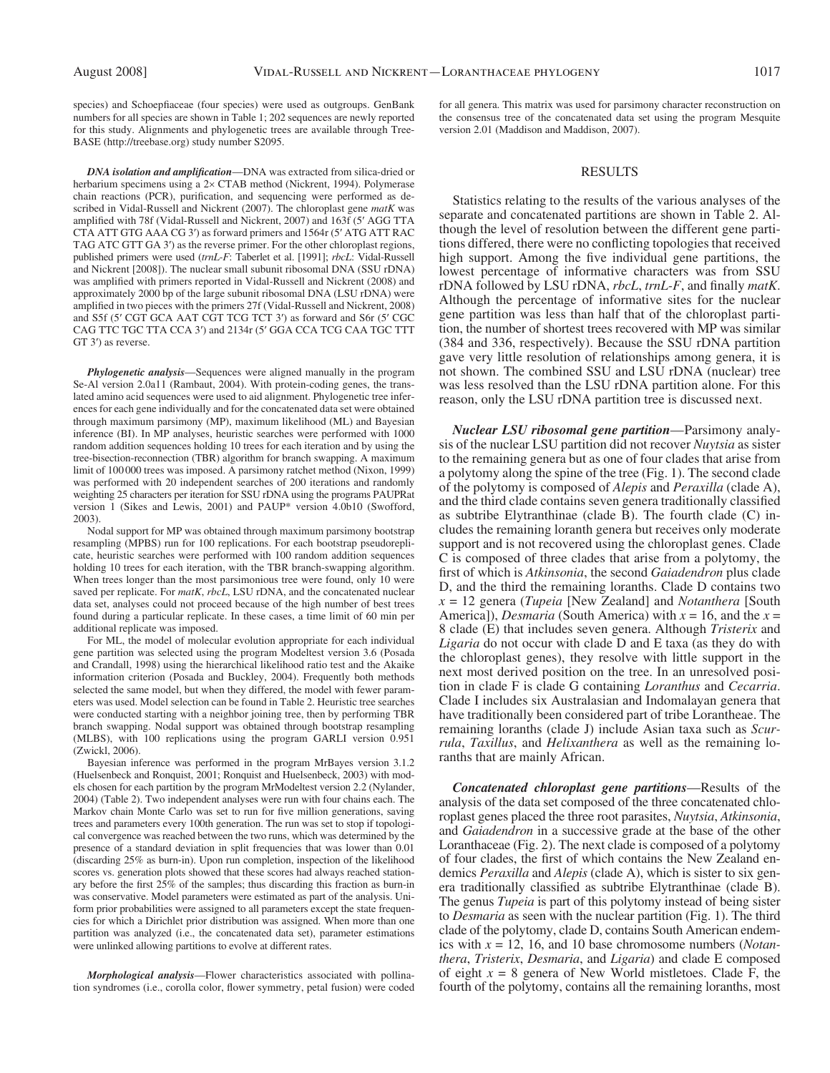species) and Schoepfiaceae (four species) were used as outgroups. GenBank numbers for all species are shown in Table 1; 202 sequences are newly reported for this study. Alignments and phylogenetic trees are available through Tree-BASE (http://treebase.org) study number S2095.

**DNA** isolation and amplification—DNA was extracted from silica-dried or herbarium specimens using a 2× CTAB method (Nickrent, 1994). Polymerase chain reactions (PCR), purification, and sequencing were performed as described in Vidal-Russell and Nickrent (2007) . The chloroplast gene *matK* was amplified with 78f (Vidal-Russell and Nickrent, 2007) and 163f (5' AGG TTA CTA ATT GTG AAA CG 3') as forward primers and 1564r (5' ATG ATT RAC TAG ATC GTT GA 3') as the reverse primer. For the other chloroplast regions, published primers were used (*trnL-F*: Taberlet et al. [1991]; *rbcL*: Vidal-Russell and Nickrent [2008] ). The nuclear small subunit ribosomal DNA (SSU rDNA) was amplified with primers reported in Vidal-Russell and Nickrent (2008) and approximately 2000 bp of the large subunit ribosomal DNA (LSU rDNA) were amplified in two pieces with the primers 27f (Vidal-Russell and Nickrent, 2008) and S5f (5' CGT GCA AAT CGT TCG TCT 3') as forward and S6r (5' CGC CAG TTC TGC TTA CCA 3') and 2134r (5' GGA CCA TCG CAA TGC TTT GT 3') as reverse.

*Phylogenetic analysis*— Sequences were aligned manually in the program Se-Al version 2.0a11 (Rambaut, 2004). With protein-coding genes, the translated amino acid sequences were used to aid alignment. Phylogenetic tree inferences for each gene individually and for the concatenated data set were obtained through maximum parsimony (MP), maximum likelihood (ML) and Bayesian inference (BI). In MP analyses, heuristic searches were performed with 1000 random addition sequences holding 10 trees for each iteration and by using the tree-bisection-reconnection (TBR) algorithm for branch swapping. A maximum limit of 100 000 trees was imposed. A parsimony ratchet method (Nixon, 1999) was performed with 20 independent searches of 200 iterations and randomly weighting 25 characters per iteration for SSU rDNA using the programs PAUPRat version 1 (Sikes and Lewis, 2001) and PAUP\* version 4.0b10 (Swofford, 2003).

 Nodal support for MP was obtained through maximum parsimony bootstrap resampling (MPBS) run for 100 replications. For each bootstrap pseudoreplicate, heuristic searches were performed with 100 random addition sequences holding 10 trees for each iteration, with the TBR branch-swapping algorithm. When trees longer than the most parsimonious tree were found, only 10 were saved per replicate. For *matK*, *rbcL*, LSU rDNA, and the concatenated nuclear data set, analyses could not proceed because of the high number of best trees found during a particular replicate. In these cases, a time limit of 60 min per additional replicate was imposed.

 For ML, the model of molecular evolution appropriate for each individual gene partition was selected using the program Modeltest version 3.6 (Posada and Crandall, 1998) using the hierarchical likelihood ratio test and the Akaike information criterion (Posada and Buckley, 2004). Frequently both methods selected the same model, but when they differed, the model with fewer parameters was used. Model selection can be found in Table 2 . Heuristic tree searches were conducted starting with a neighbor joining tree, then by performing TBR branch swapping. Nodal support was obtained through bootstrap resampling (MLBS), with 100 replications using the program GARLI version 0.951 ( Zwickl, 2006 ).

 Bayesian inference was performed in the program MrBayes version 3.1.2 (Huelsenbeck and Ronquist, 2001; Ronquist and Huelsenbeck, 2003) with models chosen for each partition by the program MrModeltest version 2.2 ( Nylander, 2004) (Table 2). Two independent analyses were run with four chains each. The Markov chain Monte Carlo was set to run for five million generations, saving trees and parameters every 100th generation. The run was set to stop if topological convergence was reached between the two runs, which was determined by the presence of a standard deviation in split frequencies that was lower than 0.01 (discarding 25% as burn-in). Upon run completion, inspection of the likelihood scores vs. generation plots showed that these scores had always reached stationary before the first 25% of the samples; thus discarding this fraction as burn-in was conservative. Model parameters were estimated as part of the analysis. Uniform prior probabilities were assigned to all parameters except the state frequencies for which a Dirichlet prior distribution was assigned. When more than one partition was analyzed (i.e., the concatenated data set), parameter estimations were unlinked allowing partitions to evolve at different rates.

*Morphological analysis*— Flower characteristics associated with pollination syndromes (i.e., corolla color, flower symmetry, petal fusion) were coded for all genera. This matrix was used for parsimony character reconstruction on the consensus tree of the concatenated data set using the program Mesquite version 2.01 (Maddison and Maddison, 2007).

#### RESULTS

 Statistics relating to the results of the various analyses of the separate and concatenated partitions are shown in Table 2. Although the level of resolution between the different gene partitions differed, there were no conflicting topologies that received high support. Among the five individual gene partitions, the lowest percentage of informative characters was from SSU rDNA followed by LSU rDNA, *rbcL*, *trnL-F*, and finally *matK*. Although the percentage of informative sites for the nuclear gene partition was less than half that of the chloroplast partition, the number of shortest trees recovered with MP was similar (384 and 336, respectively). Because the SSU rDNA partition gave very little resolution of relationships among genera, it is not shown. The combined SSU and LSU rDNA (nuclear) tree was less resolved than the LSU rDNA partition alone. For this reason, only the LSU rDNA partition tree is discussed next.

*Nuclear LSU ribosomal gene partition*— Parsimony analysis of the nuclear LSU partition did not recover *Nuytsia* as sister to the remaining genera but as one of four clades that arise from a polytomy along the spine of the tree (Fig. 1). The second clade of the polytomy is composed of *Alepis* and *Peraxilla* (clade A), and the third clade contains seven genera traditionally classified as subtribe Elytranthinae (clade B). The fourth clade (C) includes the remaining loranth genera but receives only moderate support and is not recovered using the chloroplast genes. Clade C is composed of three clades that arise from a polytomy, the first of which is *Atkinsonia*, the second *Gaiadendron* plus clade D, and the third the remaining loranths. Clade D contains two *x* = 12 genera ( *Tupeia* [New Zealand] and *Notanthera* [South America]), *Desmaria* (South America) with *x* = 16, and the *x* = 8 clade (E) that includes seven genera. Although *Tristerix* and *Ligaria* do not occur with clade D and E taxa (as they do with the chloroplast genes), they resolve with little support in the next most derived position on the tree. In an unresolved position in clade F is clade G containing *Loranthus* and *Cecarria* . Clade I includes six Australasian and Indomalayan genera that have traditionally been considered part of tribe Lorantheae. The remaining loranths (clade J) include Asian taxa such as *Scurrula* , *Taxillus* , and *Helixanthera* as well as the remaining loranths that are mainly African.

*Concatenated chloroplast gene partitions*— Results of the analysis of the data set composed of the three concatenated chloroplast genes placed the three root parasites, *Nuytsia* , *Atkinsonia* , and *Gaiadendron* in a successive grade at the base of the other Loranthaceae (Fig. 2). The next clade is composed of a polytomy of four clades, the first of which contains the New Zealand endemics *Peraxilla* and *Alepis* (clade A), which is sister to six genera traditionally classified as subtribe Elytranthinae (clade B). The genus *Tupeia* is part of this polytomy instead of being sister to *Desmaria* as seen with the nuclear partition (Fig. 1). The third clade of the polytomy, clade D, contains South American endemics with  $x = 12$ , 16, and 10 base chromosome numbers (*Notanthera* , *Tristerix* , *Desmaria* , and *Ligaria* ) and clade E composed of eight  $x = 8$  genera of New World mistletoes. Clade F, the fourth of the polytomy, contains all the remaining loranths, most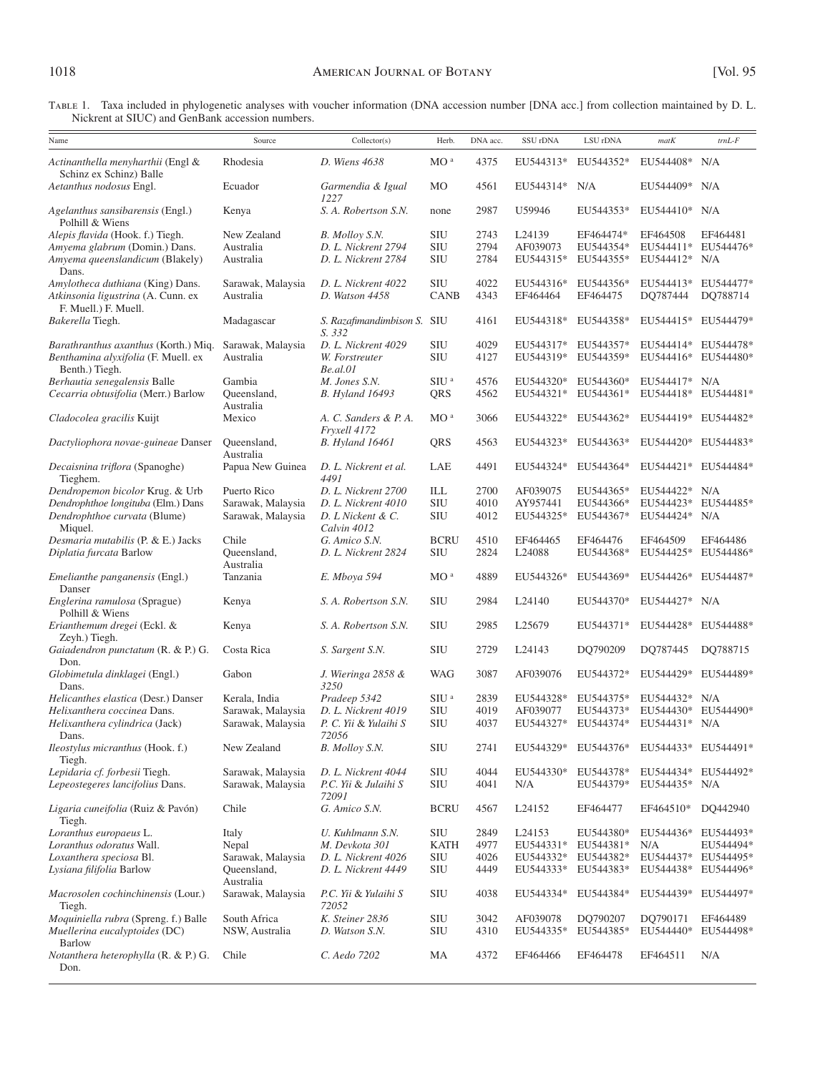TABLE 1. Taxa included in phylogenetic analyses with voucher information (DNA accession number [DNA acc.] from collection maintained by D. L. Nickrent at SIUC) and GenBank accession numbers.

| Name                                                       | Source                   | Collector(s)                          | Herb.                            | DNA acc. | SSU <sub>rDNA</sub> | LSU rDNA  | matK                | $tmL-F$   |
|------------------------------------------------------------|--------------------------|---------------------------------------|----------------------------------|----------|---------------------|-----------|---------------------|-----------|
| Actinanthella menyharthii (Engl &                          | Rhodesia                 | D. Wiens 4638                         | MO <sup>a</sup>                  | 4375     | EU544313*           | EU544352* | EU544408* N/A       |           |
| Schinz ex Schinz) Balle<br>Aetanthus nodosus Engl.         | Ecuador                  | Garmendia & Igual                     | MO                               | 4561     | EU544314*           | N/A       | EU544409* N/A       |           |
| Agelanthus sansibarensis (Engl.)<br>Polhill & Wiens        | Kenya                    | 1227<br>S. A. Robertson S.N.          | none                             | 2987     | U59946              | EU544353* | EU544410* N/A       |           |
| Alepis flavida (Hook. f.) Tiegh.                           | New Zealand              | B. Molloy S.N.                        | <b>SIU</b>                       | 2743     | L24139              | EF464474* | EF464508            | EF464481  |
| Amyema glabrum (Domin.) Dans.                              | Australia                | D. L. Nickrent 2794                   | SIU                              | 2794     | AF039073            | EU544354* | EU544411*           | EU544476* |
| Amyema queenslandicum (Blakely)<br>Dans.                   | Australia                | D. L. Nickrent 2784                   | <b>SIU</b>                       | 2784     | EU544315*           | EU544355* | EU544412*           | N/A       |
| Amylotheca duthiana (King) Dans.                           | Sarawak, Malaysia        | D. L. Nickrent 4022                   | <b>SIU</b>                       | 4022     | EU544316*           | EU544356* | EU544413*           | EU544477* |
| Atkinsonia ligustrina (A. Cunn. ex<br>F. Muell.) F. Muell. | Australia                | D. Watson 4458                        | <b>CANB</b>                      | 4343     | EF464464            | EF464475  | DQ787444            | DQ788714  |
| Bakerella Tiegh.                                           | Madagascar               | S. Razafimandimbison S. SIU<br>S. 332 |                                  | 4161     | EU544318*           | EU544358* | EU544415*           | EU544479* |
| Barathranthus axanthus (Korth.) Miq.                       | Sarawak, Malaysia        | D. L. Nickrent 4029                   | <b>SIU</b>                       | 4029     | EU544317*           | EU544357* | EU544414*           | EU544478* |
| Benthamina alyxifolia (F. Muell. ex<br>Benth.) Tiegh.      | Australia                | W. Forstreuter<br>Be.al.01            | <b>SIU</b>                       | 4127     | EU544319*           | EU544359* | EU544416*           | EU544480* |
| Berhautia senegalensis Balle                               | Gambia                   | M. Jones S.N.                         | SIU <sup>a</sup>                 | 4576     | EU544320*           | EU544360* | EU544417*           | N/A       |
| Cecarria obtusifolia (Merr.) Barlow                        | Queensland,<br>Australia | <b>B.</b> Hyland 16493                | QRS                              | 4562     | EU544321*           | EU544361* | EU544418*           | EU544481* |
| Cladocolea gracilis Kuijt                                  | Mexico                   | A. C. Sanders & P. A.<br>Fryxell 4172 | MO <sup>a</sup>                  | 3066     | EU544322*           | EU544362* | EU544419*           | EU544482* |
| Dactyliophora novae-guineae Danser                         | Queensland,<br>Australia | <b>B.</b> Hyland 16461                | QRS                              | 4563     | EU544323*           | EU544363* | EU544420*           | EU544483* |
| Decaisnina triflora (Spanoghe)<br>Tieghem.                 | Papua New Guinea         | D. L. Nickrent et al.<br>4491         | LAE                              | 4491     | EU544324*           | EU544364* | EU544421*           | EU544484* |
| Dendropemon bicolor Krug. & Urb                            | Puerto Rico              | D. L. Nickrent 2700                   | ILL                              | 2700     | AF039075            | EU544365* | EU544422*           | N/A       |
| Dendrophthoe longituba (Elm.) Dans                         | Sarawak, Malaysia        | D. L. Nickrent 4010                   | <b>SIU</b>                       | 4010     | AY957441            | EU544366* | EU544423*           | EU544485* |
| Dendrophthoe curvata (Blume)<br>Miquel.                    | Sarawak, Malaysia        | D. L Nickent & C.<br>Calvin 4012      | <b>SIU</b>                       | 4012     | EU544325*           | EU544367* | EU544424*           | N/A       |
| Desmaria mutabilis (P. & E.) Jacks                         | Chile                    | G. Amico S.N.                         | <b>BCRU</b>                      | 4510     | EF464465            | EF464476  | EF464509            | EF464486  |
| Diplatia furcata Barlow                                    | Queensland,<br>Australia | D. L. Nickrent 2824                   | <b>SIU</b>                       | 2824     | L24088              | EU544368* | EU544425*           | EU544486* |
| Emelianthe panganensis (Engl.)<br>Danser                   | Tanzania                 | E. Mboya 594                          | MO <sup>a</sup>                  | 4889     | EU544326*           | EU544369* | EU544426*           | EU544487* |
| Englerina ramulosa (Sprague)<br>Polhill & Wiens            | Kenya                    | S. A. Robertson S.N.                  | <b>SIU</b>                       | 2984     | L24140              | EU544370* | EU544427*           | N/A       |
| Erianthemum dregei (Eckl. &<br>Zeyh.) Tiegh.               | Kenya                    | S. A. Robertson S.N.                  | <b>SIU</b>                       | 2985     | L <sub>25679</sub>  | EU544371* | EU544428*           | EU544488* |
| Gaiadendron punctatum (R. & P.) G.<br>Don.                 | Costa Rica               | S. Sargent S.N.                       | <b>SIU</b>                       | 2729     | L24143              | DQ790209  | DQ787445            | DQ788715  |
| Globimetula dinklagei (Engl.)<br>Dans.                     | Gabon                    | J. Wieringa 2858 &<br>3250            | <b>WAG</b>                       | 3087     | AF039076            | EU544372* | EU544429*           | EU544489* |
| Helicanthes elastica (Desr.) Danser                        | Kerala, India            | Pradeep 5342                          | SIU <sup>a</sup>                 | 2839     | EU544328*           | EU544375* | EU544432*           | N/A       |
| Helixanthera coccinea Dans.                                | Sarawak, Malaysia        | D. L. Nickrent 4019                   | <b>SIU</b>                       | 4019     | AF039077            | EU544373* | EU544430*           | EU544490* |
| Helixanthera cylindrica (Jack)                             | Sarawak, Malaysia        | P. C. Yii & Yulaihi S<br>72056        | <b>SIU</b>                       | 4037     | EU544327*           | EU544374* | EU544431* N/A       |           |
| Dans.<br><i>Ileostylus micranthus</i> (Hook. f.)<br>Tiegh. | New Zealand              | B. Molloy S.N.                        | <b>SIU</b>                       | 2741     | EU544329*           | EU544376* | EU544433* EU544491* |           |
| Lepidaria cf. forbesii Tiegh.                              | Sarawak, Malaysia        | D. L. Nickrent 4044                   | SIU                              | 4044     | EU544330*           | EU544378* | EU544434* EU544492* |           |
| Lepeostegeres lancifolius Dans.                            | Sarawak, Malaysia        | P.C. Yii & Julaihi S<br>72091         | $\mathrm{S}\mathrm{I}\mathrm{U}$ | 4041     | N/A                 | EU544379* | EU544435* N/A       |           |
| Ligaria cuneifolia (Ruiz & Pavón)<br>Tiegh.                | Chile                    | G. Amico S.N.                         | <b>BCRU</b>                      | 4567     | L <sub>24152</sub>  | EF464477  | EF464510*           | DQ442940  |
| Loranthus europaeus L.                                     | Italy                    | U. Kuhlmann S.N.                      | SIU                              | 2849     | L24153              | EU544380* | EU544436*           | EU544493* |
| Loranthus odoratus Wall.                                   | Nepal                    | M. Devkota 301                        | <b>KATH</b>                      | 4977     | EU544331*           | EU544381* | N/A                 | EU544494* |
| Loxanthera speciosa Bl.                                    | Sarawak, Malaysia        | D. L. Nickrent 4026                   | <b>SIU</b>                       | 4026     | EU544332*           | EU544382* | EU544437*           | EU544495* |
| Lysiana filifolia Barlow                                   | Oueensland,<br>Australia | D. L. Nickrent 4449                   | SIU                              | 4449     | EU544333*           | EU544383* | EU544438*           | EU544496* |
| Macrosolen cochinchinensis (Lour.)<br>Tiegh.               | Sarawak, Malaysia        | P.C. Yii & Yulaihi S<br>72052         | SIU                              | 4038     | EU544334*           | EU544384* | EU544439*           | EU544497* |
| Moquiniella rubra (Spreng. f.) Balle                       | South Africa             | K. Steiner 2836                       | SIU                              | 3042     | AF039078            | DQ790207  | DQ790171            | EF464489  |
| Muellerina eucalyptoides (DC)<br><b>Barlow</b>             | NSW, Australia           | D. Watson S.N.                        | SIU                              | 4310     | EU544335*           | EU544385* | EU544440*           | EU544498* |
| Notanthera heterophylla (R. & P.) G.<br>Don.               | Chile                    | C. Aedo 7202                          | МA                               | 4372     | EF464466            | EF464478  | EF464511            | N/A       |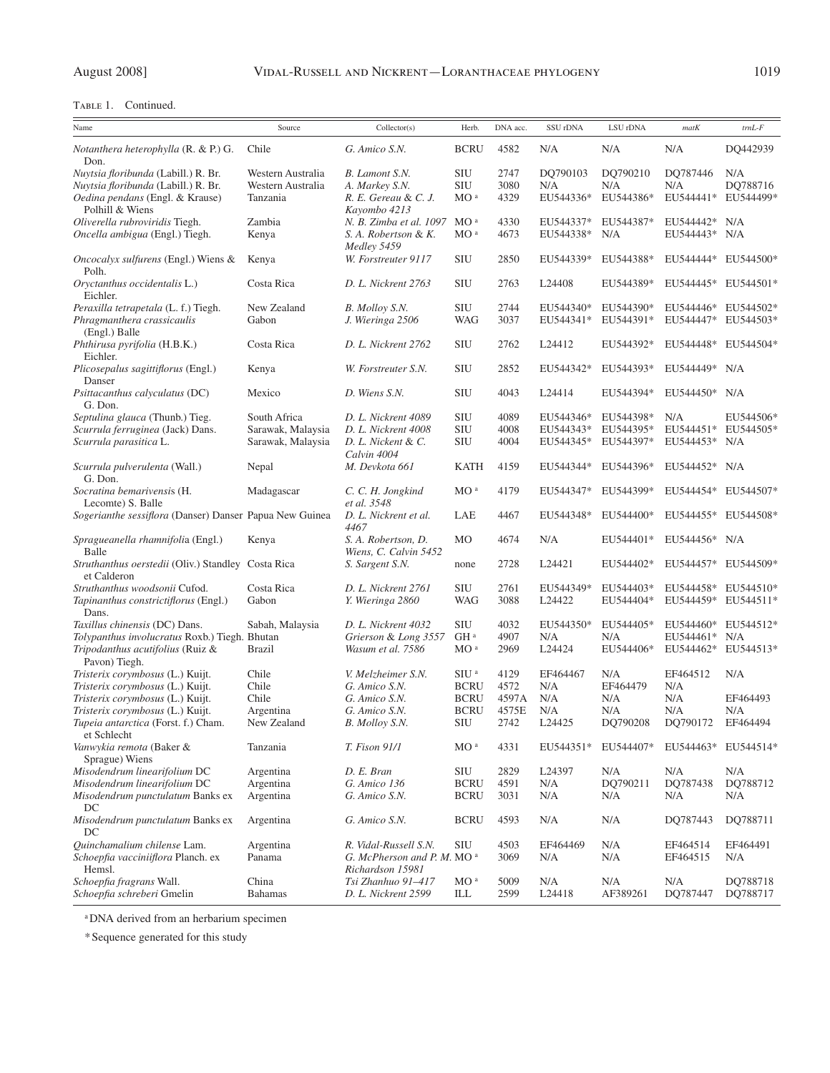### TABLE 1. Continued.

| Collector(s)<br>SSU rDNA<br>LSU rDNA<br>Name<br>Source<br>Herb.<br>DNA acc.<br>matK<br>$tmL-F$<br><b>BCRU</b><br>4582<br>N/A<br>N/A<br>N/A<br>Chile<br>G. Amico S.N.<br>DQ442939<br>Don.<br><b>SIU</b><br>DQ790103<br>DQ790210<br>Nuytsia floribunda (Labill.) R. Br.<br>Western Australia<br>B. Lamont S.N.<br>2747<br>DO787446<br>N/A<br>Nuytsia floribunda (Labill.) R. Br.<br><b>SIU</b><br>3080<br>DQ788716<br>Western Australia<br>A. Markey S.N.<br>N/A<br>N/A<br>N/A<br>Oedina pendans (Engl. & Krause)<br>MO <sup>a</sup><br>EU544336*<br>EU544386*<br>EU544441*<br>EU544499*<br>Tanzania<br>R. E. Gereau & C. J.<br>4329<br>Polhill & Wiens<br>Kayombo 4213<br>Oliverella rubroviridis Tiegh.<br>Zambia<br>MO <sup>a</sup><br>4330<br>EU544387*<br>N. B. Zimba et al. 1097<br>EU544337*<br>EU544442*<br>N/A<br>Oncella ambigua (Engl.) Tiegh.<br>MO <sup>a</sup><br>EU544338*<br>Kenya<br>S. A. Robertson & K.<br>4673<br>N/A<br>EU544443*<br>N/A<br>Medley 5459<br><b>SIU</b><br>2850<br>EU544388*<br>Oncocalyx sulfurens (Engl.) Wiens &<br>Kenya<br>W. Forstreuter 9117<br>EU544339*<br>EU544444*<br>EU544500*<br>Polh.<br>Costa Rica<br><b>SIU</b><br>2763<br>L24408<br>Oryctanthus occidentalis L.)<br>D. L. Nickrent 2763<br>EU544389*<br>EU544445*<br>EU544501*<br>Eichler.<br><b>SIU</b><br>2744<br>EU544390*<br>Peraxilla tetrapetala (L. f.) Tiegh.<br>New Zealand<br>B. Molloy S.N.<br>EU544340*<br>EU544446*<br>EU544502*<br>3037<br>EU544391*<br>Gabon<br>J. Wieringa 2506<br><b>WAG</b><br>EU544341*<br>EU544447*<br>EU544503*<br>(Engl.) Balle<br>Costa Rica<br><b>SIU</b><br>2762<br>L24412<br>D. L. Nickrent 2762<br>EU544392*<br>EU544448*<br>EU544504*<br>Eichler.<br><b>SIU</b><br>2852<br>Kenya<br>W. Forstreuter S.N.<br>EU544342*<br>EU544393*<br>EU544449*<br>N/A<br>Danser<br><b>SIU</b><br>L24414<br>EU544394*<br>Psittacanthus calvculatus (DC)<br>Mexico<br>D. Wiens S.N.<br>4043<br>EU544450*<br>N/A<br>G. Don.<br><b>SIU</b><br>4089<br>South Africa<br>D. L. Nickrent 4089<br>EU544346*<br>EU544398*<br>N/A<br>EU544506*<br>Scurrula ferruginea (Jack) Dans.<br><b>SIU</b><br>4008<br>EU544395*<br>EU544451*<br>Sarawak, Malaysia<br>D. L. Nickrent 4008<br>EU544343*<br>EU544505*<br><b>SIU</b><br>EU544345*<br>EU544397*<br>EU544453*<br>N/A<br>Scurrula parasitica L.<br>Sarawak, Malaysia<br>D. L. Nickent & C.<br>4004<br>Calvin 4004<br><b>KATH</b><br>4159<br>Nepal<br>M. Devkota 661<br>EU544344*<br>EU544396*<br>EU544452*<br>N/A<br>G. Don.<br>Socratina bemarivensis (H.<br>MO <sup>a</sup><br>4179<br>EU544399*<br>Madagascar<br>C. C. H. Jongkind<br>EU544347*<br>EU544454*<br>EU544507*<br>Lecomte) S. Balle<br>et al. 3548<br>Sogerianthe sessiflora (Danser) Danser Papua New Guinea<br>LAE<br>4467<br>D. L. Nickrent et al.<br>EU544348*<br>EU544400*<br>EU544455*<br>EU544508*<br>4467<br>S. A. Robertson, D.<br><b>MO</b><br>4674<br>N/A<br>Kenya<br>EU544401*<br>EU544456*<br>N/A<br>Balle<br>Wiens, C. Calvin 5452<br>Struthanthus oerstedii (Oliv.) Standley Costa Rica<br>2728<br>S. Sargent S.N.<br>L24421<br>EU544402*<br>EU544457*<br>EU544509*<br>none<br>et Calderon<br>Struthanthus woodsonii Cufod.<br>Costa Rica<br>D. L. Nickrent 2761<br><b>SIU</b><br>2761<br>EU544349*<br>EU544403*<br>EU544458*<br>EU544510*<br>3088<br>L24422<br>EU544404*<br>EU544459* EU544511*<br>Gabon<br>Y. Wieringa 2860<br><b>WAG</b><br>Dans.<br><b>SIU</b><br>4032<br>EU544405*<br>Taxillus chinensis (DC) Dans.<br>Sabah, Malaysia<br>D. L. Nickrent 4032<br>EU544350*<br>EU544460*<br>EU544512*<br>Tolypanthus involucratus Roxb.) Tiegh. Bhutan<br>Grierson & Long 3557<br>GH <sup>a</sup><br>4907<br>N/A<br>EU544461*<br>N/A<br>N/A<br><b>Brazil</b><br>$MO^a$<br>L24424<br>EU544462*<br>EU544513*<br>2969<br>EU544406*<br>Wasum et al. 7586<br>Pavon) Tiegh.<br>Tristerix corymbosus (L.) Kuijt.<br>Chile<br>V. Melzheimer S.N.<br>$SIU^a$<br>4129<br>EF464467<br>N/A<br>EF464512<br>N/A<br>Tristerix corymbosus (L.) Kuijt.<br>4572<br>Chile<br>G. Amico S.N.<br><b>BCRU</b><br>N/A<br>EF464479<br>N/A<br>Tristerix corymbosus (L.) Kuijt.<br>4597A<br>Chile<br>G. Amico S.N.<br><b>BCRU</b><br>N/A<br>N/A<br>N/A<br>EF464493<br><b>BCRU</b><br>Tristerix corymbosus (L.) Kuijt.<br>4575E<br>N/A<br>N/A<br>N/A<br>Argentina<br>G. Amico S.N.<br>N/A<br><i>Tupeia antarctica</i> (Forst. f.) Cham.<br>New Zealand<br>B. Molloy S.N.<br><b>SIU</b><br>2742<br>L <sub>24425</sub><br>DQ790208<br>DQ790172<br>EF464494<br>et Schlecht<br>$MO^a$<br>Vanwykia remota (Baker &<br>Tanzania<br>T. Fison 91/1<br>4331<br>EU544351*<br>EU544407*<br>EU544463*<br>EU544514*<br>Sprague) Wiens<br>Misodendrum linearifolium DC<br>Argentina<br>D. E. Bran<br><b>SIU</b><br>2829<br>L24397<br>N/A<br>N/A<br>N/A<br>Misodendrum linearifolium DC<br>Argentina<br>G. Amico 136<br><b>BCRU</b><br>4591<br>N/A<br>DQ790211<br>DQ787438<br>DQ788712<br>Argentina<br>3031<br>N/A<br>G. Amico S.N.<br><b>BCRU</b><br>N/A<br>N/A<br>N/A<br>DC<br>Argentina<br>G. Amico S.N.<br><b>BCRU</b><br>4593<br>N/A<br>N/A<br>DQ787443<br>DQ788711<br>DC<br>Quinchamalium chilense Lam.<br>Argentina<br>R. Vidal-Russell S.N.<br><b>SIU</b><br>EF464469<br>N/A<br>EF464491<br>4503<br>EF464514<br>Panama<br>G. McPherson and P. M. MO a<br>3069<br>N/A<br>N/A<br>EF464515<br>N/A<br>Hemsl.<br>Richardson 15981<br>Schoepfia fragrans Wall.<br>N/A<br>China<br>MO <sup>a</sup><br>5009<br>N/A<br>N/A<br>DQ788718<br>Tsi Zhanhuo 91-417<br><b>Bahamas</b><br>2599<br>L24418<br>AF389261<br>DQ787447<br>DQ788717<br>D. L. Nickrent 2599<br>ILL |                                      |  |  |  |  |
|---------------------------------------------------------------------------------------------------------------------------------------------------------------------------------------------------------------------------------------------------------------------------------------------------------------------------------------------------------------------------------------------------------------------------------------------------------------------------------------------------------------------------------------------------------------------------------------------------------------------------------------------------------------------------------------------------------------------------------------------------------------------------------------------------------------------------------------------------------------------------------------------------------------------------------------------------------------------------------------------------------------------------------------------------------------------------------------------------------------------------------------------------------------------------------------------------------------------------------------------------------------------------------------------------------------------------------------------------------------------------------------------------------------------------------------------------------------------------------------------------------------------------------------------------------------------------------------------------------------------------------------------------------------------------------------------------------------------------------------------------------------------------------------------------------------------------------------------------------------------------------------------------------------------------------------------------------------------------------------------------------------------------------------------------------------------------------------------------------------------------------------------------------------------------------------------------------------------------------------------------------------------------------------------------------------------------------------------------------------------------------------------------------------------------------------------------------------------------------------------------------------------------------------------------------------------------------------------------------------------------------------------------------------------------------------------------------------------------------------------------------------------------------------------------------------------------------------------------------------------------------------------------------------------------------------------------------------------------------------------------------------------------------------------------------------------------------------------------------------------------------------------------------------------------------------------------------------------------------------------------------------------------------------------------------------------------------------------------------------------------------------------------------------------------------------------------------------------------------------------------------------------------------------------------------------------------------------------------------------------------------------------------------------------------------------------------------------------------------------------------------------------------------------------------------------------------------------------------------------------------------------------------------------------------------------------------------------------------------------------------------------------------------------------------------------------------------------------------------------------------------------------------------------------------------------------------------------------------------------------------------------------------------------------------------------------------------------------------------------------------------------------------------------------------------------------------------------------------------------------------------------------------------------------------------------------------------------------------------------------------------------------------------------------------------------------------------------------------------------------------------------------------------------------------------------------------------------------------------------------------------------------------------------------------------------------------------------------------------------------------------------------------------------------------------------------------------------------------------------------------------------------------------------------------------------------------------------------------------------------------------------------------------------------------------------------------------------------------------------------------------------------------------------------------------------------------------------------------------------------------------------------------------------------------------------------------|--------------------------------------|--|--|--|--|
|                                                                                                                                                                                                                                                                                                                                                                                                                                                                                                                                                                                                                                                                                                                                                                                                                                                                                                                                                                                                                                                                                                                                                                                                                                                                                                                                                                                                                                                                                                                                                                                                                                                                                                                                                                                                                                                                                                                                                                                                                                                                                                                                                                                                                                                                                                                                                                                                                                                                                                                                                                                                                                                                                                                                                                                                                                                                                                                                                                                                                                                                                                                                                                                                                                                                                                                                                                                                                                                                                                                                                                                                                                                                                                                                                                                                                                                                                                                                                                                                                                                                                                                                                                                                                                                                                                                                                                                                                                                                                                                                                                                                                                                                                                                                                                                                                                                                                                                                                                                                                                                                                                                                                                                                                                                                                                                                                                                                                                                                                                                                                                           |                                      |  |  |  |  |
|                                                                                                                                                                                                                                                                                                                                                                                                                                                                                                                                                                                                                                                                                                                                                                                                                                                                                                                                                                                                                                                                                                                                                                                                                                                                                                                                                                                                                                                                                                                                                                                                                                                                                                                                                                                                                                                                                                                                                                                                                                                                                                                                                                                                                                                                                                                                                                                                                                                                                                                                                                                                                                                                                                                                                                                                                                                                                                                                                                                                                                                                                                                                                                                                                                                                                                                                                                                                                                                                                                                                                                                                                                                                                                                                                                                                                                                                                                                                                                                                                                                                                                                                                                                                                                                                                                                                                                                                                                                                                                                                                                                                                                                                                                                                                                                                                                                                                                                                                                                                                                                                                                                                                                                                                                                                                                                                                                                                                                                                                                                                                                           | Notanthera heterophylla (R. & P.) G. |  |  |  |  |
|                                                                                                                                                                                                                                                                                                                                                                                                                                                                                                                                                                                                                                                                                                                                                                                                                                                                                                                                                                                                                                                                                                                                                                                                                                                                                                                                                                                                                                                                                                                                                                                                                                                                                                                                                                                                                                                                                                                                                                                                                                                                                                                                                                                                                                                                                                                                                                                                                                                                                                                                                                                                                                                                                                                                                                                                                                                                                                                                                                                                                                                                                                                                                                                                                                                                                                                                                                                                                                                                                                                                                                                                                                                                                                                                                                                                                                                                                                                                                                                                                                                                                                                                                                                                                                                                                                                                                                                                                                                                                                                                                                                                                                                                                                                                                                                                                                                                                                                                                                                                                                                                                                                                                                                                                                                                                                                                                                                                                                                                                                                                                                           |                                      |  |  |  |  |
|                                                                                                                                                                                                                                                                                                                                                                                                                                                                                                                                                                                                                                                                                                                                                                                                                                                                                                                                                                                                                                                                                                                                                                                                                                                                                                                                                                                                                                                                                                                                                                                                                                                                                                                                                                                                                                                                                                                                                                                                                                                                                                                                                                                                                                                                                                                                                                                                                                                                                                                                                                                                                                                                                                                                                                                                                                                                                                                                                                                                                                                                                                                                                                                                                                                                                                                                                                                                                                                                                                                                                                                                                                                                                                                                                                                                                                                                                                                                                                                                                                                                                                                                                                                                                                                                                                                                                                                                                                                                                                                                                                                                                                                                                                                                                                                                                                                                                                                                                                                                                                                                                                                                                                                                                                                                                                                                                                                                                                                                                                                                                                           |                                      |  |  |  |  |
|                                                                                                                                                                                                                                                                                                                                                                                                                                                                                                                                                                                                                                                                                                                                                                                                                                                                                                                                                                                                                                                                                                                                                                                                                                                                                                                                                                                                                                                                                                                                                                                                                                                                                                                                                                                                                                                                                                                                                                                                                                                                                                                                                                                                                                                                                                                                                                                                                                                                                                                                                                                                                                                                                                                                                                                                                                                                                                                                                                                                                                                                                                                                                                                                                                                                                                                                                                                                                                                                                                                                                                                                                                                                                                                                                                                                                                                                                                                                                                                                                                                                                                                                                                                                                                                                                                                                                                                                                                                                                                                                                                                                                                                                                                                                                                                                                                                                                                                                                                                                                                                                                                                                                                                                                                                                                                                                                                                                                                                                                                                                                                           |                                      |  |  |  |  |
|                                                                                                                                                                                                                                                                                                                                                                                                                                                                                                                                                                                                                                                                                                                                                                                                                                                                                                                                                                                                                                                                                                                                                                                                                                                                                                                                                                                                                                                                                                                                                                                                                                                                                                                                                                                                                                                                                                                                                                                                                                                                                                                                                                                                                                                                                                                                                                                                                                                                                                                                                                                                                                                                                                                                                                                                                                                                                                                                                                                                                                                                                                                                                                                                                                                                                                                                                                                                                                                                                                                                                                                                                                                                                                                                                                                                                                                                                                                                                                                                                                                                                                                                                                                                                                                                                                                                                                                                                                                                                                                                                                                                                                                                                                                                                                                                                                                                                                                                                                                                                                                                                                                                                                                                                                                                                                                                                                                                                                                                                                                                                                           |                                      |  |  |  |  |
|                                                                                                                                                                                                                                                                                                                                                                                                                                                                                                                                                                                                                                                                                                                                                                                                                                                                                                                                                                                                                                                                                                                                                                                                                                                                                                                                                                                                                                                                                                                                                                                                                                                                                                                                                                                                                                                                                                                                                                                                                                                                                                                                                                                                                                                                                                                                                                                                                                                                                                                                                                                                                                                                                                                                                                                                                                                                                                                                                                                                                                                                                                                                                                                                                                                                                                                                                                                                                                                                                                                                                                                                                                                                                                                                                                                                                                                                                                                                                                                                                                                                                                                                                                                                                                                                                                                                                                                                                                                                                                                                                                                                                                                                                                                                                                                                                                                                                                                                                                                                                                                                                                                                                                                                                                                                                                                                                                                                                                                                                                                                                                           |                                      |  |  |  |  |
|                                                                                                                                                                                                                                                                                                                                                                                                                                                                                                                                                                                                                                                                                                                                                                                                                                                                                                                                                                                                                                                                                                                                                                                                                                                                                                                                                                                                                                                                                                                                                                                                                                                                                                                                                                                                                                                                                                                                                                                                                                                                                                                                                                                                                                                                                                                                                                                                                                                                                                                                                                                                                                                                                                                                                                                                                                                                                                                                                                                                                                                                                                                                                                                                                                                                                                                                                                                                                                                                                                                                                                                                                                                                                                                                                                                                                                                                                                                                                                                                                                                                                                                                                                                                                                                                                                                                                                                                                                                                                                                                                                                                                                                                                                                                                                                                                                                                                                                                                                                                                                                                                                                                                                                                                                                                                                                                                                                                                                                                                                                                                                           |                                      |  |  |  |  |
|                                                                                                                                                                                                                                                                                                                                                                                                                                                                                                                                                                                                                                                                                                                                                                                                                                                                                                                                                                                                                                                                                                                                                                                                                                                                                                                                                                                                                                                                                                                                                                                                                                                                                                                                                                                                                                                                                                                                                                                                                                                                                                                                                                                                                                                                                                                                                                                                                                                                                                                                                                                                                                                                                                                                                                                                                                                                                                                                                                                                                                                                                                                                                                                                                                                                                                                                                                                                                                                                                                                                                                                                                                                                                                                                                                                                                                                                                                                                                                                                                                                                                                                                                                                                                                                                                                                                                                                                                                                                                                                                                                                                                                                                                                                                                                                                                                                                                                                                                                                                                                                                                                                                                                                                                                                                                                                                                                                                                                                                                                                                                                           |                                      |  |  |  |  |
|                                                                                                                                                                                                                                                                                                                                                                                                                                                                                                                                                                                                                                                                                                                                                                                                                                                                                                                                                                                                                                                                                                                                                                                                                                                                                                                                                                                                                                                                                                                                                                                                                                                                                                                                                                                                                                                                                                                                                                                                                                                                                                                                                                                                                                                                                                                                                                                                                                                                                                                                                                                                                                                                                                                                                                                                                                                                                                                                                                                                                                                                                                                                                                                                                                                                                                                                                                                                                                                                                                                                                                                                                                                                                                                                                                                                                                                                                                                                                                                                                                                                                                                                                                                                                                                                                                                                                                                                                                                                                                                                                                                                                                                                                                                                                                                                                                                                                                                                                                                                                                                                                                                                                                                                                                                                                                                                                                                                                                                                                                                                                                           |                                      |  |  |  |  |
|                                                                                                                                                                                                                                                                                                                                                                                                                                                                                                                                                                                                                                                                                                                                                                                                                                                                                                                                                                                                                                                                                                                                                                                                                                                                                                                                                                                                                                                                                                                                                                                                                                                                                                                                                                                                                                                                                                                                                                                                                                                                                                                                                                                                                                                                                                                                                                                                                                                                                                                                                                                                                                                                                                                                                                                                                                                                                                                                                                                                                                                                                                                                                                                                                                                                                                                                                                                                                                                                                                                                                                                                                                                                                                                                                                                                                                                                                                                                                                                                                                                                                                                                                                                                                                                                                                                                                                                                                                                                                                                                                                                                                                                                                                                                                                                                                                                                                                                                                                                                                                                                                                                                                                                                                                                                                                                                                                                                                                                                                                                                                                           |                                      |  |  |  |  |
|                                                                                                                                                                                                                                                                                                                                                                                                                                                                                                                                                                                                                                                                                                                                                                                                                                                                                                                                                                                                                                                                                                                                                                                                                                                                                                                                                                                                                                                                                                                                                                                                                                                                                                                                                                                                                                                                                                                                                                                                                                                                                                                                                                                                                                                                                                                                                                                                                                                                                                                                                                                                                                                                                                                                                                                                                                                                                                                                                                                                                                                                                                                                                                                                                                                                                                                                                                                                                                                                                                                                                                                                                                                                                                                                                                                                                                                                                                                                                                                                                                                                                                                                                                                                                                                                                                                                                                                                                                                                                                                                                                                                                                                                                                                                                                                                                                                                                                                                                                                                                                                                                                                                                                                                                                                                                                                                                                                                                                                                                                                                                                           |                                      |  |  |  |  |
|                                                                                                                                                                                                                                                                                                                                                                                                                                                                                                                                                                                                                                                                                                                                                                                                                                                                                                                                                                                                                                                                                                                                                                                                                                                                                                                                                                                                                                                                                                                                                                                                                                                                                                                                                                                                                                                                                                                                                                                                                                                                                                                                                                                                                                                                                                                                                                                                                                                                                                                                                                                                                                                                                                                                                                                                                                                                                                                                                                                                                                                                                                                                                                                                                                                                                                                                                                                                                                                                                                                                                                                                                                                                                                                                                                                                                                                                                                                                                                                                                                                                                                                                                                                                                                                                                                                                                                                                                                                                                                                                                                                                                                                                                                                                                                                                                                                                                                                                                                                                                                                                                                                                                                                                                                                                                                                                                                                                                                                                                                                                                                           | Phragmanthera crassicaulis           |  |  |  |  |
|                                                                                                                                                                                                                                                                                                                                                                                                                                                                                                                                                                                                                                                                                                                                                                                                                                                                                                                                                                                                                                                                                                                                                                                                                                                                                                                                                                                                                                                                                                                                                                                                                                                                                                                                                                                                                                                                                                                                                                                                                                                                                                                                                                                                                                                                                                                                                                                                                                                                                                                                                                                                                                                                                                                                                                                                                                                                                                                                                                                                                                                                                                                                                                                                                                                                                                                                                                                                                                                                                                                                                                                                                                                                                                                                                                                                                                                                                                                                                                                                                                                                                                                                                                                                                                                                                                                                                                                                                                                                                                                                                                                                                                                                                                                                                                                                                                                                                                                                                                                                                                                                                                                                                                                                                                                                                                                                                                                                                                                                                                                                                                           |                                      |  |  |  |  |
|                                                                                                                                                                                                                                                                                                                                                                                                                                                                                                                                                                                                                                                                                                                                                                                                                                                                                                                                                                                                                                                                                                                                                                                                                                                                                                                                                                                                                                                                                                                                                                                                                                                                                                                                                                                                                                                                                                                                                                                                                                                                                                                                                                                                                                                                                                                                                                                                                                                                                                                                                                                                                                                                                                                                                                                                                                                                                                                                                                                                                                                                                                                                                                                                                                                                                                                                                                                                                                                                                                                                                                                                                                                                                                                                                                                                                                                                                                                                                                                                                                                                                                                                                                                                                                                                                                                                                                                                                                                                                                                                                                                                                                                                                                                                                                                                                                                                                                                                                                                                                                                                                                                                                                                                                                                                                                                                                                                                                                                                                                                                                                           | Phthirusa pyrifolia (H.B.K.)         |  |  |  |  |
|                                                                                                                                                                                                                                                                                                                                                                                                                                                                                                                                                                                                                                                                                                                                                                                                                                                                                                                                                                                                                                                                                                                                                                                                                                                                                                                                                                                                                                                                                                                                                                                                                                                                                                                                                                                                                                                                                                                                                                                                                                                                                                                                                                                                                                                                                                                                                                                                                                                                                                                                                                                                                                                                                                                                                                                                                                                                                                                                                                                                                                                                                                                                                                                                                                                                                                                                                                                                                                                                                                                                                                                                                                                                                                                                                                                                                                                                                                                                                                                                                                                                                                                                                                                                                                                                                                                                                                                                                                                                                                                                                                                                                                                                                                                                                                                                                                                                                                                                                                                                                                                                                                                                                                                                                                                                                                                                                                                                                                                                                                                                                                           | Plicosepalus sagittiflorus (Engl.)   |  |  |  |  |
|                                                                                                                                                                                                                                                                                                                                                                                                                                                                                                                                                                                                                                                                                                                                                                                                                                                                                                                                                                                                                                                                                                                                                                                                                                                                                                                                                                                                                                                                                                                                                                                                                                                                                                                                                                                                                                                                                                                                                                                                                                                                                                                                                                                                                                                                                                                                                                                                                                                                                                                                                                                                                                                                                                                                                                                                                                                                                                                                                                                                                                                                                                                                                                                                                                                                                                                                                                                                                                                                                                                                                                                                                                                                                                                                                                                                                                                                                                                                                                                                                                                                                                                                                                                                                                                                                                                                                                                                                                                                                                                                                                                                                                                                                                                                                                                                                                                                                                                                                                                                                                                                                                                                                                                                                                                                                                                                                                                                                                                                                                                                                                           |                                      |  |  |  |  |
|                                                                                                                                                                                                                                                                                                                                                                                                                                                                                                                                                                                                                                                                                                                                                                                                                                                                                                                                                                                                                                                                                                                                                                                                                                                                                                                                                                                                                                                                                                                                                                                                                                                                                                                                                                                                                                                                                                                                                                                                                                                                                                                                                                                                                                                                                                                                                                                                                                                                                                                                                                                                                                                                                                                                                                                                                                                                                                                                                                                                                                                                                                                                                                                                                                                                                                                                                                                                                                                                                                                                                                                                                                                                                                                                                                                                                                                                                                                                                                                                                                                                                                                                                                                                                                                                                                                                                                                                                                                                                                                                                                                                                                                                                                                                                                                                                                                                                                                                                                                                                                                                                                                                                                                                                                                                                                                                                                                                                                                                                                                                                                           | Septulina glauca (Thunb.) Tieg.      |  |  |  |  |
|                                                                                                                                                                                                                                                                                                                                                                                                                                                                                                                                                                                                                                                                                                                                                                                                                                                                                                                                                                                                                                                                                                                                                                                                                                                                                                                                                                                                                                                                                                                                                                                                                                                                                                                                                                                                                                                                                                                                                                                                                                                                                                                                                                                                                                                                                                                                                                                                                                                                                                                                                                                                                                                                                                                                                                                                                                                                                                                                                                                                                                                                                                                                                                                                                                                                                                                                                                                                                                                                                                                                                                                                                                                                                                                                                                                                                                                                                                                                                                                                                                                                                                                                                                                                                                                                                                                                                                                                                                                                                                                                                                                                                                                                                                                                                                                                                                                                                                                                                                                                                                                                                                                                                                                                                                                                                                                                                                                                                                                                                                                                                                           |                                      |  |  |  |  |
|                                                                                                                                                                                                                                                                                                                                                                                                                                                                                                                                                                                                                                                                                                                                                                                                                                                                                                                                                                                                                                                                                                                                                                                                                                                                                                                                                                                                                                                                                                                                                                                                                                                                                                                                                                                                                                                                                                                                                                                                                                                                                                                                                                                                                                                                                                                                                                                                                                                                                                                                                                                                                                                                                                                                                                                                                                                                                                                                                                                                                                                                                                                                                                                                                                                                                                                                                                                                                                                                                                                                                                                                                                                                                                                                                                                                                                                                                                                                                                                                                                                                                                                                                                                                                                                                                                                                                                                                                                                                                                                                                                                                                                                                                                                                                                                                                                                                                                                                                                                                                                                                                                                                                                                                                                                                                                                                                                                                                                                                                                                                                                           |                                      |  |  |  |  |
|                                                                                                                                                                                                                                                                                                                                                                                                                                                                                                                                                                                                                                                                                                                                                                                                                                                                                                                                                                                                                                                                                                                                                                                                                                                                                                                                                                                                                                                                                                                                                                                                                                                                                                                                                                                                                                                                                                                                                                                                                                                                                                                                                                                                                                                                                                                                                                                                                                                                                                                                                                                                                                                                                                                                                                                                                                                                                                                                                                                                                                                                                                                                                                                                                                                                                                                                                                                                                                                                                                                                                                                                                                                                                                                                                                                                                                                                                                                                                                                                                                                                                                                                                                                                                                                                                                                                                                                                                                                                                                                                                                                                                                                                                                                                                                                                                                                                                                                                                                                                                                                                                                                                                                                                                                                                                                                                                                                                                                                                                                                                                                           | Scurrula pulverulenta (Wall.)        |  |  |  |  |
|                                                                                                                                                                                                                                                                                                                                                                                                                                                                                                                                                                                                                                                                                                                                                                                                                                                                                                                                                                                                                                                                                                                                                                                                                                                                                                                                                                                                                                                                                                                                                                                                                                                                                                                                                                                                                                                                                                                                                                                                                                                                                                                                                                                                                                                                                                                                                                                                                                                                                                                                                                                                                                                                                                                                                                                                                                                                                                                                                                                                                                                                                                                                                                                                                                                                                                                                                                                                                                                                                                                                                                                                                                                                                                                                                                                                                                                                                                                                                                                                                                                                                                                                                                                                                                                                                                                                                                                                                                                                                                                                                                                                                                                                                                                                                                                                                                                                                                                                                                                                                                                                                                                                                                                                                                                                                                                                                                                                                                                                                                                                                                           |                                      |  |  |  |  |
|                                                                                                                                                                                                                                                                                                                                                                                                                                                                                                                                                                                                                                                                                                                                                                                                                                                                                                                                                                                                                                                                                                                                                                                                                                                                                                                                                                                                                                                                                                                                                                                                                                                                                                                                                                                                                                                                                                                                                                                                                                                                                                                                                                                                                                                                                                                                                                                                                                                                                                                                                                                                                                                                                                                                                                                                                                                                                                                                                                                                                                                                                                                                                                                                                                                                                                                                                                                                                                                                                                                                                                                                                                                                                                                                                                                                                                                                                                                                                                                                                                                                                                                                                                                                                                                                                                                                                                                                                                                                                                                                                                                                                                                                                                                                                                                                                                                                                                                                                                                                                                                                                                                                                                                                                                                                                                                                                                                                                                                                                                                                                                           |                                      |  |  |  |  |
|                                                                                                                                                                                                                                                                                                                                                                                                                                                                                                                                                                                                                                                                                                                                                                                                                                                                                                                                                                                                                                                                                                                                                                                                                                                                                                                                                                                                                                                                                                                                                                                                                                                                                                                                                                                                                                                                                                                                                                                                                                                                                                                                                                                                                                                                                                                                                                                                                                                                                                                                                                                                                                                                                                                                                                                                                                                                                                                                                                                                                                                                                                                                                                                                                                                                                                                                                                                                                                                                                                                                                                                                                                                                                                                                                                                                                                                                                                                                                                                                                                                                                                                                                                                                                                                                                                                                                                                                                                                                                                                                                                                                                                                                                                                                                                                                                                                                                                                                                                                                                                                                                                                                                                                                                                                                                                                                                                                                                                                                                                                                                                           | Spragueanella rhamnifolia (Engl.)    |  |  |  |  |
|                                                                                                                                                                                                                                                                                                                                                                                                                                                                                                                                                                                                                                                                                                                                                                                                                                                                                                                                                                                                                                                                                                                                                                                                                                                                                                                                                                                                                                                                                                                                                                                                                                                                                                                                                                                                                                                                                                                                                                                                                                                                                                                                                                                                                                                                                                                                                                                                                                                                                                                                                                                                                                                                                                                                                                                                                                                                                                                                                                                                                                                                                                                                                                                                                                                                                                                                                                                                                                                                                                                                                                                                                                                                                                                                                                                                                                                                                                                                                                                                                                                                                                                                                                                                                                                                                                                                                                                                                                                                                                                                                                                                                                                                                                                                                                                                                                                                                                                                                                                                                                                                                                                                                                                                                                                                                                                                                                                                                                                                                                                                                                           |                                      |  |  |  |  |
|                                                                                                                                                                                                                                                                                                                                                                                                                                                                                                                                                                                                                                                                                                                                                                                                                                                                                                                                                                                                                                                                                                                                                                                                                                                                                                                                                                                                                                                                                                                                                                                                                                                                                                                                                                                                                                                                                                                                                                                                                                                                                                                                                                                                                                                                                                                                                                                                                                                                                                                                                                                                                                                                                                                                                                                                                                                                                                                                                                                                                                                                                                                                                                                                                                                                                                                                                                                                                                                                                                                                                                                                                                                                                                                                                                                                                                                                                                                                                                                                                                                                                                                                                                                                                                                                                                                                                                                                                                                                                                                                                                                                                                                                                                                                                                                                                                                                                                                                                                                                                                                                                                                                                                                                                                                                                                                                                                                                                                                                                                                                                                           |                                      |  |  |  |  |
|                                                                                                                                                                                                                                                                                                                                                                                                                                                                                                                                                                                                                                                                                                                                                                                                                                                                                                                                                                                                                                                                                                                                                                                                                                                                                                                                                                                                                                                                                                                                                                                                                                                                                                                                                                                                                                                                                                                                                                                                                                                                                                                                                                                                                                                                                                                                                                                                                                                                                                                                                                                                                                                                                                                                                                                                                                                                                                                                                                                                                                                                                                                                                                                                                                                                                                                                                                                                                                                                                                                                                                                                                                                                                                                                                                                                                                                                                                                                                                                                                                                                                                                                                                                                                                                                                                                                                                                                                                                                                                                                                                                                                                                                                                                                                                                                                                                                                                                                                                                                                                                                                                                                                                                                                                                                                                                                                                                                                                                                                                                                                                           | Tapinanthus constrictiflorus (Engl.) |  |  |  |  |
|                                                                                                                                                                                                                                                                                                                                                                                                                                                                                                                                                                                                                                                                                                                                                                                                                                                                                                                                                                                                                                                                                                                                                                                                                                                                                                                                                                                                                                                                                                                                                                                                                                                                                                                                                                                                                                                                                                                                                                                                                                                                                                                                                                                                                                                                                                                                                                                                                                                                                                                                                                                                                                                                                                                                                                                                                                                                                                                                                                                                                                                                                                                                                                                                                                                                                                                                                                                                                                                                                                                                                                                                                                                                                                                                                                                                                                                                                                                                                                                                                                                                                                                                                                                                                                                                                                                                                                                                                                                                                                                                                                                                                                                                                                                                                                                                                                                                                                                                                                                                                                                                                                                                                                                                                                                                                                                                                                                                                                                                                                                                                                           |                                      |  |  |  |  |
|                                                                                                                                                                                                                                                                                                                                                                                                                                                                                                                                                                                                                                                                                                                                                                                                                                                                                                                                                                                                                                                                                                                                                                                                                                                                                                                                                                                                                                                                                                                                                                                                                                                                                                                                                                                                                                                                                                                                                                                                                                                                                                                                                                                                                                                                                                                                                                                                                                                                                                                                                                                                                                                                                                                                                                                                                                                                                                                                                                                                                                                                                                                                                                                                                                                                                                                                                                                                                                                                                                                                                                                                                                                                                                                                                                                                                                                                                                                                                                                                                                                                                                                                                                                                                                                                                                                                                                                                                                                                                                                                                                                                                                                                                                                                                                                                                                                                                                                                                                                                                                                                                                                                                                                                                                                                                                                                                                                                                                                                                                                                                                           |                                      |  |  |  |  |
|                                                                                                                                                                                                                                                                                                                                                                                                                                                                                                                                                                                                                                                                                                                                                                                                                                                                                                                                                                                                                                                                                                                                                                                                                                                                                                                                                                                                                                                                                                                                                                                                                                                                                                                                                                                                                                                                                                                                                                                                                                                                                                                                                                                                                                                                                                                                                                                                                                                                                                                                                                                                                                                                                                                                                                                                                                                                                                                                                                                                                                                                                                                                                                                                                                                                                                                                                                                                                                                                                                                                                                                                                                                                                                                                                                                                                                                                                                                                                                                                                                                                                                                                                                                                                                                                                                                                                                                                                                                                                                                                                                                                                                                                                                                                                                                                                                                                                                                                                                                                                                                                                                                                                                                                                                                                                                                                                                                                                                                                                                                                                                           | Tripodanthus acutifolius (Ruiz &     |  |  |  |  |
|                                                                                                                                                                                                                                                                                                                                                                                                                                                                                                                                                                                                                                                                                                                                                                                                                                                                                                                                                                                                                                                                                                                                                                                                                                                                                                                                                                                                                                                                                                                                                                                                                                                                                                                                                                                                                                                                                                                                                                                                                                                                                                                                                                                                                                                                                                                                                                                                                                                                                                                                                                                                                                                                                                                                                                                                                                                                                                                                                                                                                                                                                                                                                                                                                                                                                                                                                                                                                                                                                                                                                                                                                                                                                                                                                                                                                                                                                                                                                                                                                                                                                                                                                                                                                                                                                                                                                                                                                                                                                                                                                                                                                                                                                                                                                                                                                                                                                                                                                                                                                                                                                                                                                                                                                                                                                                                                                                                                                                                                                                                                                                           |                                      |  |  |  |  |
|                                                                                                                                                                                                                                                                                                                                                                                                                                                                                                                                                                                                                                                                                                                                                                                                                                                                                                                                                                                                                                                                                                                                                                                                                                                                                                                                                                                                                                                                                                                                                                                                                                                                                                                                                                                                                                                                                                                                                                                                                                                                                                                                                                                                                                                                                                                                                                                                                                                                                                                                                                                                                                                                                                                                                                                                                                                                                                                                                                                                                                                                                                                                                                                                                                                                                                                                                                                                                                                                                                                                                                                                                                                                                                                                                                                                                                                                                                                                                                                                                                                                                                                                                                                                                                                                                                                                                                                                                                                                                                                                                                                                                                                                                                                                                                                                                                                                                                                                                                                                                                                                                                                                                                                                                                                                                                                                                                                                                                                                                                                                                                           |                                      |  |  |  |  |
|                                                                                                                                                                                                                                                                                                                                                                                                                                                                                                                                                                                                                                                                                                                                                                                                                                                                                                                                                                                                                                                                                                                                                                                                                                                                                                                                                                                                                                                                                                                                                                                                                                                                                                                                                                                                                                                                                                                                                                                                                                                                                                                                                                                                                                                                                                                                                                                                                                                                                                                                                                                                                                                                                                                                                                                                                                                                                                                                                                                                                                                                                                                                                                                                                                                                                                                                                                                                                                                                                                                                                                                                                                                                                                                                                                                                                                                                                                                                                                                                                                                                                                                                                                                                                                                                                                                                                                                                                                                                                                                                                                                                                                                                                                                                                                                                                                                                                                                                                                                                                                                                                                                                                                                                                                                                                                                                                                                                                                                                                                                                                                           |                                      |  |  |  |  |
|                                                                                                                                                                                                                                                                                                                                                                                                                                                                                                                                                                                                                                                                                                                                                                                                                                                                                                                                                                                                                                                                                                                                                                                                                                                                                                                                                                                                                                                                                                                                                                                                                                                                                                                                                                                                                                                                                                                                                                                                                                                                                                                                                                                                                                                                                                                                                                                                                                                                                                                                                                                                                                                                                                                                                                                                                                                                                                                                                                                                                                                                                                                                                                                                                                                                                                                                                                                                                                                                                                                                                                                                                                                                                                                                                                                                                                                                                                                                                                                                                                                                                                                                                                                                                                                                                                                                                                                                                                                                                                                                                                                                                                                                                                                                                                                                                                                                                                                                                                                                                                                                                                                                                                                                                                                                                                                                                                                                                                                                                                                                                                           |                                      |  |  |  |  |
|                                                                                                                                                                                                                                                                                                                                                                                                                                                                                                                                                                                                                                                                                                                                                                                                                                                                                                                                                                                                                                                                                                                                                                                                                                                                                                                                                                                                                                                                                                                                                                                                                                                                                                                                                                                                                                                                                                                                                                                                                                                                                                                                                                                                                                                                                                                                                                                                                                                                                                                                                                                                                                                                                                                                                                                                                                                                                                                                                                                                                                                                                                                                                                                                                                                                                                                                                                                                                                                                                                                                                                                                                                                                                                                                                                                                                                                                                                                                                                                                                                                                                                                                                                                                                                                                                                                                                                                                                                                                                                                                                                                                                                                                                                                                                                                                                                                                                                                                                                                                                                                                                                                                                                                                                                                                                                                                                                                                                                                                                                                                                                           |                                      |  |  |  |  |
|                                                                                                                                                                                                                                                                                                                                                                                                                                                                                                                                                                                                                                                                                                                                                                                                                                                                                                                                                                                                                                                                                                                                                                                                                                                                                                                                                                                                                                                                                                                                                                                                                                                                                                                                                                                                                                                                                                                                                                                                                                                                                                                                                                                                                                                                                                                                                                                                                                                                                                                                                                                                                                                                                                                                                                                                                                                                                                                                                                                                                                                                                                                                                                                                                                                                                                                                                                                                                                                                                                                                                                                                                                                                                                                                                                                                                                                                                                                                                                                                                                                                                                                                                                                                                                                                                                                                                                                                                                                                                                                                                                                                                                                                                                                                                                                                                                                                                                                                                                                                                                                                                                                                                                                                                                                                                                                                                                                                                                                                                                                                                                           |                                      |  |  |  |  |
|                                                                                                                                                                                                                                                                                                                                                                                                                                                                                                                                                                                                                                                                                                                                                                                                                                                                                                                                                                                                                                                                                                                                                                                                                                                                                                                                                                                                                                                                                                                                                                                                                                                                                                                                                                                                                                                                                                                                                                                                                                                                                                                                                                                                                                                                                                                                                                                                                                                                                                                                                                                                                                                                                                                                                                                                                                                                                                                                                                                                                                                                                                                                                                                                                                                                                                                                                                                                                                                                                                                                                                                                                                                                                                                                                                                                                                                                                                                                                                                                                                                                                                                                                                                                                                                                                                                                                                                                                                                                                                                                                                                                                                                                                                                                                                                                                                                                                                                                                                                                                                                                                                                                                                                                                                                                                                                                                                                                                                                                                                                                                                           |                                      |  |  |  |  |
|                                                                                                                                                                                                                                                                                                                                                                                                                                                                                                                                                                                                                                                                                                                                                                                                                                                                                                                                                                                                                                                                                                                                                                                                                                                                                                                                                                                                                                                                                                                                                                                                                                                                                                                                                                                                                                                                                                                                                                                                                                                                                                                                                                                                                                                                                                                                                                                                                                                                                                                                                                                                                                                                                                                                                                                                                                                                                                                                                                                                                                                                                                                                                                                                                                                                                                                                                                                                                                                                                                                                                                                                                                                                                                                                                                                                                                                                                                                                                                                                                                                                                                                                                                                                                                                                                                                                                                                                                                                                                                                                                                                                                                                                                                                                                                                                                                                                                                                                                                                                                                                                                                                                                                                                                                                                                                                                                                                                                                                                                                                                                                           |                                      |  |  |  |  |
|                                                                                                                                                                                                                                                                                                                                                                                                                                                                                                                                                                                                                                                                                                                                                                                                                                                                                                                                                                                                                                                                                                                                                                                                                                                                                                                                                                                                                                                                                                                                                                                                                                                                                                                                                                                                                                                                                                                                                                                                                                                                                                                                                                                                                                                                                                                                                                                                                                                                                                                                                                                                                                                                                                                                                                                                                                                                                                                                                                                                                                                                                                                                                                                                                                                                                                                                                                                                                                                                                                                                                                                                                                                                                                                                                                                                                                                                                                                                                                                                                                                                                                                                                                                                                                                                                                                                                                                                                                                                                                                                                                                                                                                                                                                                                                                                                                                                                                                                                                                                                                                                                                                                                                                                                                                                                                                                                                                                                                                                                                                                                                           |                                      |  |  |  |  |
|                                                                                                                                                                                                                                                                                                                                                                                                                                                                                                                                                                                                                                                                                                                                                                                                                                                                                                                                                                                                                                                                                                                                                                                                                                                                                                                                                                                                                                                                                                                                                                                                                                                                                                                                                                                                                                                                                                                                                                                                                                                                                                                                                                                                                                                                                                                                                                                                                                                                                                                                                                                                                                                                                                                                                                                                                                                                                                                                                                                                                                                                                                                                                                                                                                                                                                                                                                                                                                                                                                                                                                                                                                                                                                                                                                                                                                                                                                                                                                                                                                                                                                                                                                                                                                                                                                                                                                                                                                                                                                                                                                                                                                                                                                                                                                                                                                                                                                                                                                                                                                                                                                                                                                                                                                                                                                                                                                                                                                                                                                                                                                           | Misodendrum punctulatum Banks ex     |  |  |  |  |
|                                                                                                                                                                                                                                                                                                                                                                                                                                                                                                                                                                                                                                                                                                                                                                                                                                                                                                                                                                                                                                                                                                                                                                                                                                                                                                                                                                                                                                                                                                                                                                                                                                                                                                                                                                                                                                                                                                                                                                                                                                                                                                                                                                                                                                                                                                                                                                                                                                                                                                                                                                                                                                                                                                                                                                                                                                                                                                                                                                                                                                                                                                                                                                                                                                                                                                                                                                                                                                                                                                                                                                                                                                                                                                                                                                                                                                                                                                                                                                                                                                                                                                                                                                                                                                                                                                                                                                                                                                                                                                                                                                                                                                                                                                                                                                                                                                                                                                                                                                                                                                                                                                                                                                                                                                                                                                                                                                                                                                                                                                                                                                           | Misodendrum punctulatum Banks ex     |  |  |  |  |
|                                                                                                                                                                                                                                                                                                                                                                                                                                                                                                                                                                                                                                                                                                                                                                                                                                                                                                                                                                                                                                                                                                                                                                                                                                                                                                                                                                                                                                                                                                                                                                                                                                                                                                                                                                                                                                                                                                                                                                                                                                                                                                                                                                                                                                                                                                                                                                                                                                                                                                                                                                                                                                                                                                                                                                                                                                                                                                                                                                                                                                                                                                                                                                                                                                                                                                                                                                                                                                                                                                                                                                                                                                                                                                                                                                                                                                                                                                                                                                                                                                                                                                                                                                                                                                                                                                                                                                                                                                                                                                                                                                                                                                                                                                                                                                                                                                                                                                                                                                                                                                                                                                                                                                                                                                                                                                                                                                                                                                                                                                                                                                           |                                      |  |  |  |  |
|                                                                                                                                                                                                                                                                                                                                                                                                                                                                                                                                                                                                                                                                                                                                                                                                                                                                                                                                                                                                                                                                                                                                                                                                                                                                                                                                                                                                                                                                                                                                                                                                                                                                                                                                                                                                                                                                                                                                                                                                                                                                                                                                                                                                                                                                                                                                                                                                                                                                                                                                                                                                                                                                                                                                                                                                                                                                                                                                                                                                                                                                                                                                                                                                                                                                                                                                                                                                                                                                                                                                                                                                                                                                                                                                                                                                                                                                                                                                                                                                                                                                                                                                                                                                                                                                                                                                                                                                                                                                                                                                                                                                                                                                                                                                                                                                                                                                                                                                                                                                                                                                                                                                                                                                                                                                                                                                                                                                                                                                                                                                                                           | Schoepfia vacciniiflora Planch. ex   |  |  |  |  |
|                                                                                                                                                                                                                                                                                                                                                                                                                                                                                                                                                                                                                                                                                                                                                                                                                                                                                                                                                                                                                                                                                                                                                                                                                                                                                                                                                                                                                                                                                                                                                                                                                                                                                                                                                                                                                                                                                                                                                                                                                                                                                                                                                                                                                                                                                                                                                                                                                                                                                                                                                                                                                                                                                                                                                                                                                                                                                                                                                                                                                                                                                                                                                                                                                                                                                                                                                                                                                                                                                                                                                                                                                                                                                                                                                                                                                                                                                                                                                                                                                                                                                                                                                                                                                                                                                                                                                                                                                                                                                                                                                                                                                                                                                                                                                                                                                                                                                                                                                                                                                                                                                                                                                                                                                                                                                                                                                                                                                                                                                                                                                                           |                                      |  |  |  |  |
|                                                                                                                                                                                                                                                                                                                                                                                                                                                                                                                                                                                                                                                                                                                                                                                                                                                                                                                                                                                                                                                                                                                                                                                                                                                                                                                                                                                                                                                                                                                                                                                                                                                                                                                                                                                                                                                                                                                                                                                                                                                                                                                                                                                                                                                                                                                                                                                                                                                                                                                                                                                                                                                                                                                                                                                                                                                                                                                                                                                                                                                                                                                                                                                                                                                                                                                                                                                                                                                                                                                                                                                                                                                                                                                                                                                                                                                                                                                                                                                                                                                                                                                                                                                                                                                                                                                                                                                                                                                                                                                                                                                                                                                                                                                                                                                                                                                                                                                                                                                                                                                                                                                                                                                                                                                                                                                                                                                                                                                                                                                                                                           | Schoepfia schreberi Gmelin           |  |  |  |  |

a DNA derived from an herbarium specimen

\* Sequence generated for this study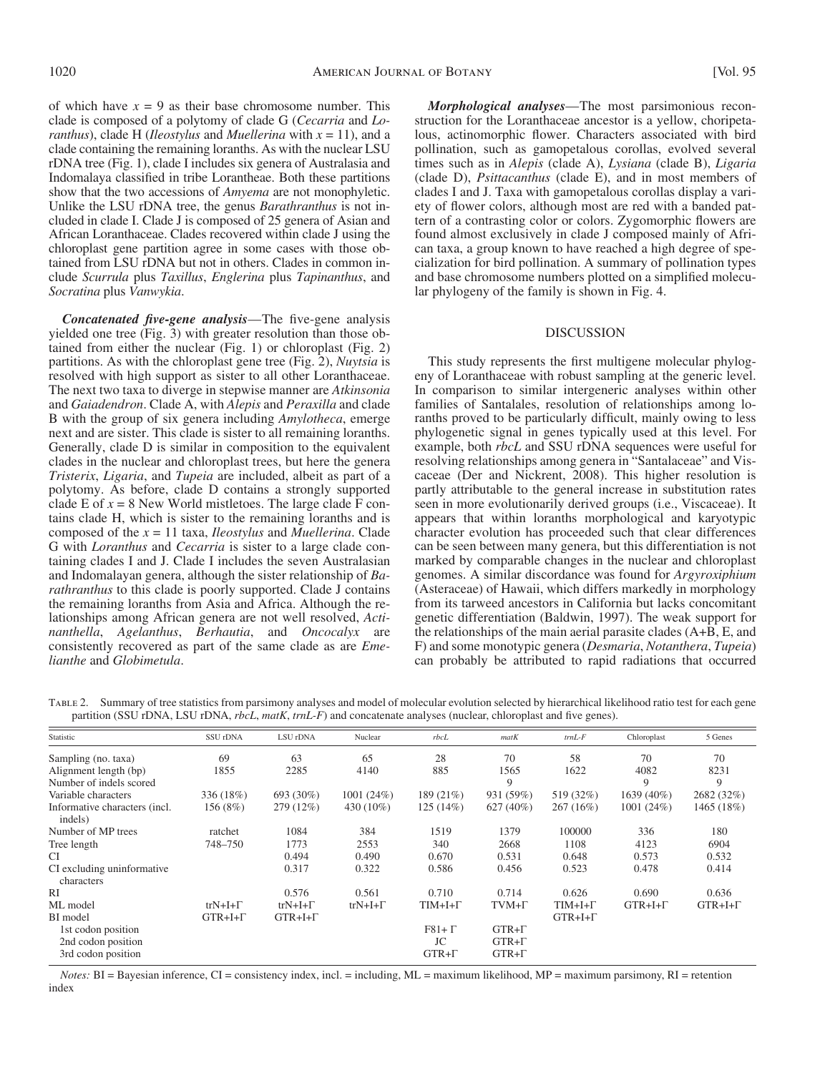of which have  $x = 9$  as their base chromosome number. This clade is composed of a polytomy of clade G ( *Cecarria* and *Loranthus*), clade H (*Ileostylus* and *Muellerina* with  $x = 11$ ), and a clade containing the remaining loranths. As with the nuclear LSU rDNA tree (Fig. 1), clade I includes six genera of Australasia and Indomalaya classified in tribe Lorantheae. Both these partitions show that the two accessions of *Amyema* are not monophyletic. Unlike the LSU rDNA tree, the genus *Barathranthus* is not included in clade I. Clade J is composed of 25 genera of Asian and African Loranthaceae. Clades recovered within clade J using the chloroplast gene partition agree in some cases with those obtained from LSU rDNA but not in others. Clades in common include *Scurrula* plus *Taxillus* , *Englerina* plus *Tapinanthus* , and *Socratina* plus *Vanwykia* .

*Concatenated five-gene analysis*—The five-gene analysis yielded one tree (Fig. 3) with greater resolution than those obtained from either the nuclear (Fig. 1) or chloroplast (Fig. 2) partitions. As with the chloroplast gene tree (Fig. 2), *Nuytsia* is resolved with high support as sister to all other Loranthaceae. The next two taxa to diverge in stepwise manner are *Atkinsonia* and *Gaiadendron* . Clade A, with *Alepis* and *Peraxilla* and clade B with the group of six genera including *Amylotheca* , emerge next and are sister. This clade is sister to all remaining loranths. Generally, clade D is similar in composition to the equivalent clades in the nuclear and chloroplast trees, but here the genera *Tristerix, Ligaria, and Tupeia are included, albeit as part of a* polytomy. As before, clade D contains a strongly supported clade E of  $x = 8$  New World mistletoes. The large clade F contains clade H, which is sister to the remaining loranths and is composed of the *x* = 11 taxa, *Ileostylus* and *Muellerina* . Clade G with *Loranthus* and *Cecarria* is sister to a large clade containing clades I and J. Clade I includes the seven Australasian and Indomalayan genera, although the sister relationship of *Barathranthus* to this clade is poorly supported. Clade J contains the remaining loranths from Asia and Africa. Although the relationships among African genera are not well resolved, *Actinanthella* , *Agelanthus* , *Berhautia* , and *Oncocalyx* are consistently recovered as part of the same clade as are *Emelianthe* and *Globimetula* .

*Morphological analyses*— The most parsimonious reconstruction for the Loranthaceae ancestor is a yellow, choripetalous, actinomorphic flower. Characters associated with bird pollination, such as gamopetalous corollas, evolved several times such as in *Alepis* (clade A), *Lysiana* (clade B), *Ligaria* (clade D), *Psittacanthus* (clade E), and in most members of clades I and J. Taxa with gamopetalous corollas display a variety of flower colors, although most are red with a banded pattern of a contrasting color or colors. Zygomorphic flowers are found almost exclusively in clade J composed mainly of African taxa, a group known to have reached a high degree of specialization for bird pollination. A summary of pollination types and base chromosome numbers plotted on a simplified molecular phylogeny of the family is shown in Fig. 4 .

#### DISCUSSION

This study represents the first multigene molecular phylogeny of Loranthaceae with robust sampling at the generic level. In comparison to similar intergeneric analyses within other families of Santalales, resolution of relationships among loranths proved to be particularly difficult, mainly owing to less phylogenetic signal in genes typically used at this level. For example, both *rbcL* and SSU rDNA sequences were useful for resolving relationships among genera in "Santalaceae" and Viscaceae (Der and Nickrent, 2008). This higher resolution is partly attributable to the general increase in substitution rates seen in more evolutionarily derived groups (i.e., Viscaceae). It appears that within loranths morphological and karyotypic character evolution has proceeded such that clear differences can be seen between many genera, but this differentiation is not marked by comparable changes in the nuclear and chloroplast genomes. A similar discordance was found for *Argyroxiphium* (Asteraceae) of Hawaii, which differs markedly in morphology from its tarweed ancestors in California but lacks concomitant genetic differentiation (Baldwin, 1997). The weak support for the relationships of the main aerial parasite clades (A+B, E, and F) and some monotypic genera ( *Desmaria* , *Notanthera* , *Tupeia* ) can probably be attributed to rapid radiations that occurred

 Table 2. Summary of tree statistics from parsimony analyses and model of molecular evolution selected by hierarchical likelihood ratio test for each gene partition (SSU rDNA, LSU rDNA, *rbcL*, matK, trnL-F) and concatenate analyses (nuclear, chloroplast and five genes).

| Statistic                                | <b>SSU</b> rDNA | LSU <sub>rDNA</sub> | Nuclear         | rbcL           | matK           | $tmL-F$         | Chloroplast     | 5 Genes        |
|------------------------------------------|-----------------|---------------------|-----------------|----------------|----------------|-----------------|-----------------|----------------|
| Sampling (no. taxa)                      | 69              | 63                  | 65              | 28             | 70             | 58              | 70              | 70             |
| Alignment length (bp)                    | 1855            | 2285                | 4140            | 885            | 1565           | 1622            | 4082            | 8231           |
| Number of indels scored                  |                 |                     |                 |                | 9              |                 | 9               | 9              |
| Variable characters                      | 336 (18%)       | 693 (30%)           | 1001(24%)       | 189 (21%)      | 931 (59%)      | 519 (32%)       | 1639 (40%)      | 2682 (32%)     |
| Informative characters (incl.<br>indels) | 156 (8%)        | 279 (12%)           | 430 (10%)       | 125(14%)       | $627(40\%)$    | 267(16%)        | 1001(24%)       | 1465 (18%)     |
| Number of MP trees                       | ratchet         | 1084                | 384             | 1519           | 1379           | 100000          | 336             | 180            |
| Tree length                              | 748-750         | 1773                | 2553            | 340            | 2668           | 1108            | 4123            | 6904           |
| <b>CI</b>                                |                 | 0.494               | 0.490           | 0.670          | 0.531          | 0.648           | 0.573           | 0.532          |
| CI excluding uninformative<br>characters |                 | 0.317               | 0.322           | 0.586          | 0.456          | 0.523           | 0.478           | 0.414          |
| <b>RI</b>                                |                 | 0.576               | 0.561           | 0.710          | 0.714          | 0.626           | 0.690           | 0.636          |
| ML model                                 | $trN+I+\Gamma$  | $trN+I+ \Gamma$     | $trN+I+ \Gamma$ | $TIM+I+\Gamma$ | $TVM+\Gamma$   | $TIM+I+\Gamma$  | $GTR+I+ \Gamma$ | $GTR+I+\Gamma$ |
| BI model                                 | $GTR+I+ \Gamma$ | $GTR+I+ \Gamma$     |                 |                |                | $GTR+I+ \Gamma$ |                 |                |
| 1st codon position                       |                 |                     |                 | $F81 + \Gamma$ | $GTR + \Gamma$ |                 |                 |                |
| 2nd codon position                       |                 |                     |                 | JC             | $GTR + \Gamma$ |                 |                 |                |
| 3rd codon position                       |                 |                     |                 | $GTR + \Gamma$ | $GTR + \Gamma$ |                 |                 |                |

*Notes:* BI = Bayesian inference, CI = consistency index, incl. = including, ML = maximum likelihood, MP = maximum parsimony, RI = retention index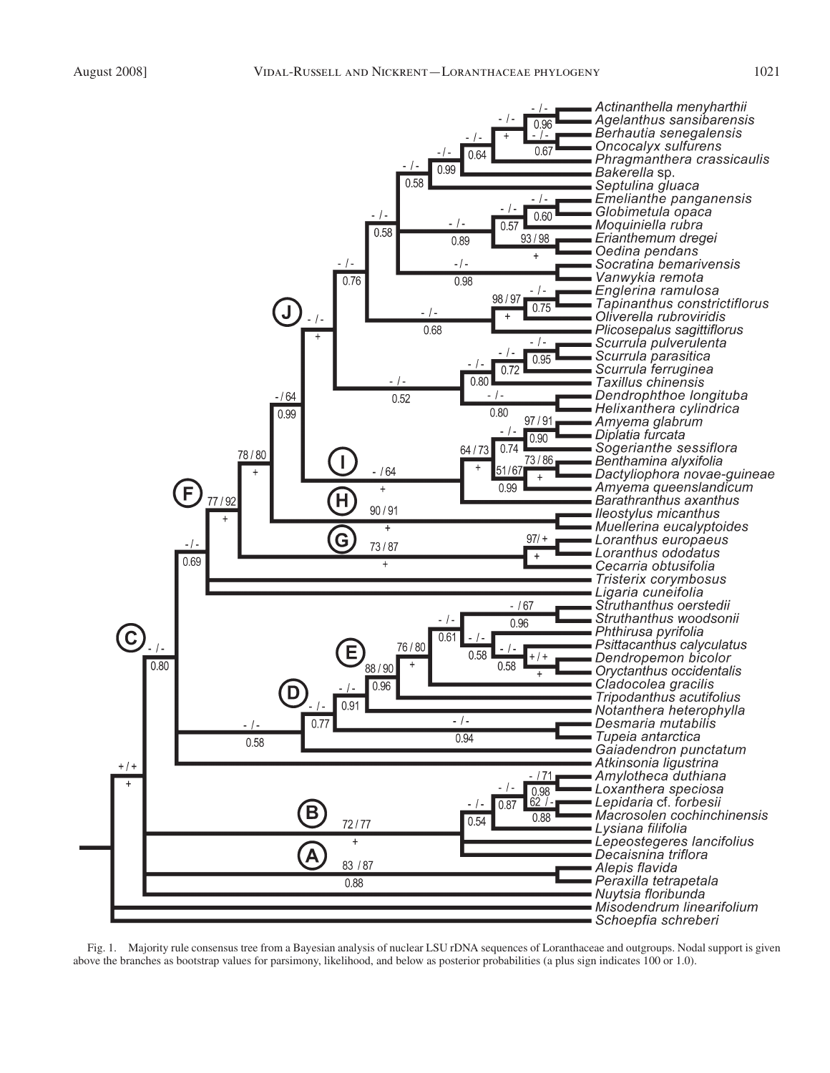

 Fig. 1. Majority rule consensus tree from a Bayesian analysis of nuclear LSU rDNA sequences of Loranthaceae and outgroups. Nodal support is given above the branches as bootstrap values for parsimony, likelihood, and below as posterior probabilities (a plus sign indicates 100 or 1.0).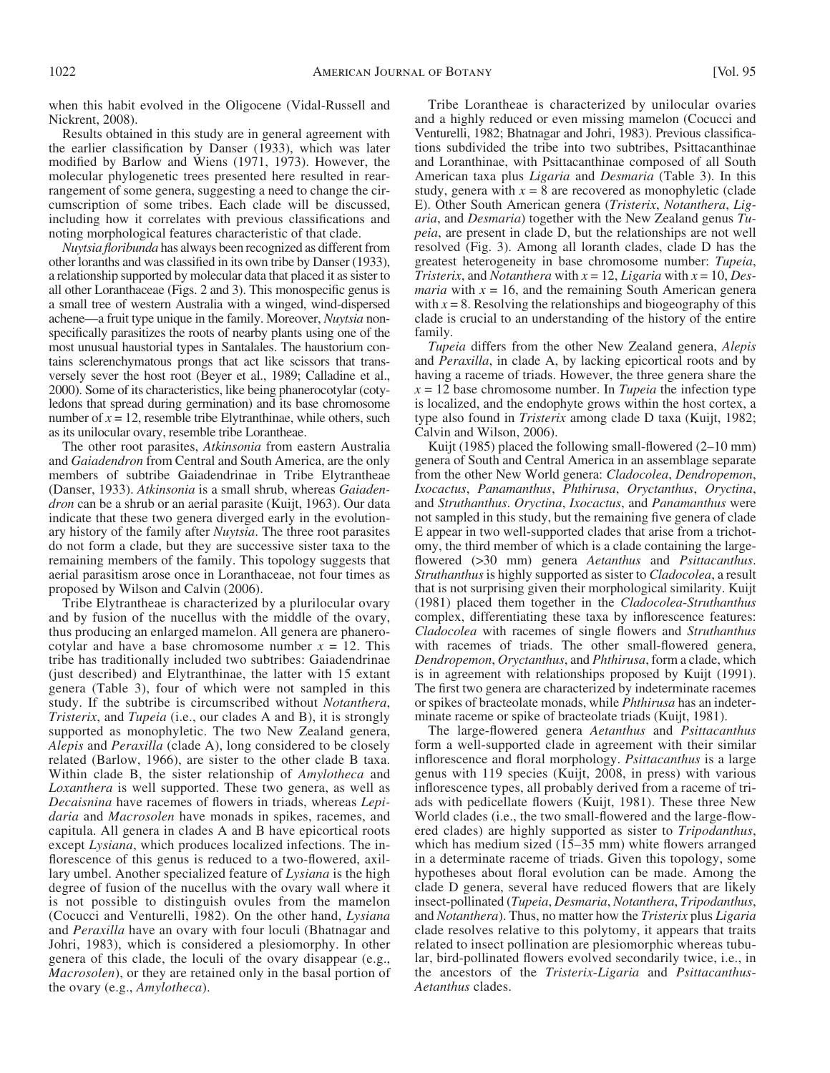when this habit evolved in the Oligocene (Vidal-Russell and Nickrent, 2008).

 Results obtained in this study are in general agreement with the earlier classification by Danser (1933), which was later modified by Barlow and Wiens (1971, 1973). However, the molecular phylogenetic trees presented here resulted in rearrangement of some genera, suggesting a need to change the circumscription of some tribes. Each clade will be discussed, including how it correlates with previous classifications and noting morphological features characteristic of that clade.

*Nuytsia floribunda* has always been recognized as different from other loranths and was classified in its own tribe by Danser (1933), a relationship supported by molecular data that placed it as sister to all other Loranthaceae (Figs. 2 and 3). This monospecific genus is a small tree of western Australia with a winged, wind-dispersed achene—a fruit type unique in the family. Moreover, *Nuytsia* nonspecifically parasitizes the roots of nearby plants using one of the most unusual haustorial types in Santalales. The haustorium contains sclerenchymatous prongs that act like scissors that transversely sever the host root (Beyer et al., 1989; Calladine et al., 2000). Some of its characteristics, like being phanerocotylar (cotyledons that spread during germination) and its base chromosome number of  $x = 12$ , resemble tribe Elytranthinae, while others, such as its unilocular ovary, resemble tribe Lorantheae.

 The other root parasites, *Atkinsonia* from eastern Australia and *Gaiadendron* from Central and South America, are the only members of subtribe Gaiadendrinae in Tribe Elytrantheae ( Danser, 1933 ). *Atkinsonia* is a small shrub, whereas *Gaiadendron* can be a shrub or an aerial parasite (Kuijt, 1963). Our data indicate that these two genera diverged early in the evolutionary history of the family after *Nuytsia* . The three root parasites do not form a clade, but they are successive sister taxa to the remaining members of the family. This topology suggests that aerial parasitism arose once in Loranthaceae, not four times as proposed by Wilson and Calvin (2006) .

 Tribe Elytrantheae is characterized by a plurilocular ovary and by fusion of the nucellus with the middle of the ovary, thus producing an enlarged mamelon. All genera are phanerocotylar and have a base chromosome number  $x = 12$ . This tribe has traditionally included two subtribes: Gaiadendrinae (just described) and Elytranthinae, the latter with 15 extant genera (Table 3), four of which were not sampled in this study. If the subtribe is circumscribed without *Notanthera* , *Tristerix*, and *Tupeia* (i.e., our clades A and B), it is strongly supported as monophyletic. The two New Zealand genera, *Alepis* and *Peraxilla* (clade A), long considered to be closely related (Barlow, 1966), are sister to the other clade B taxa. Within clade B, the sister relationship of *Amylotheca* and *Loxanthera* is well supported. These two genera, as well as *Decaisnina* have racemes of flowers in triads, whereas *Lepidaria* and *Macrosolen* have monads in spikes, racemes, and capitula. All genera in clades A and B have epicortical roots except *Lysiana*, which produces localized infections. The inflorescence of this genus is reduced to a two-flowered, axillary umbel. Another specialized feature of *Lysiana* is the high degree of fusion of the nucellus with the ovary wall where it is not possible to distinguish ovules from the mamelon ( Cocucci and Venturelli, 1982 ). On the other hand, *Lysiana* and *Peraxilla* have an ovary with four loculi (Bhatnagar and Johri, 1983), which is considered a plesiomorphy. In other genera of this clade, the loculi of the ovary disappear (e.g., *Macrosolen*), or they are retained only in the basal portion of the ovary (e.g., *Amylotheca* ).

 Tribe Lorantheae is characterized by unilocular ovaries and a highly reduced or even missing mamelon (Cocucci and Venturelli, 1982; Bhatnagar and Johri, 1983). Previous classifications subdivided the tribe into two subtribes, Psittacanthinae and Loranthinae, with Psittacanthinae composed of all South American taxa plus *Ligaria* and *Desmaria* (Table 3). In this study, genera with  $x = 8$  are recovered as monophyletic (clade E). Other South American genera ( *Tristerix* , *Notanthera* , *Ligaria* , and *Desmaria* ) together with the New Zealand genus *Tupeia* , are present in clade D, but the relationships are not well resolved (Fig. 3). Among all loranth clades, clade D has the greatest heterogeneity in base chromosome number: *Tupeia* , *Tristerix*, and *Notanthera* with  $x = 12$ , *Ligaria* with  $x = 10$ , *Desmaria* with  $x = 16$ , and the remaining South American genera with  $x = 8$ . Resolving the relationships and biogeography of this clade is crucial to an understanding of the history of the entire family.

*Tupeia* differs from the other New Zealand genera, *Alepis* and *Peraxilla*, in clade A, by lacking epicortical roots and by having a raceme of triads. However, the three genera share the *x* = 12 base chromosome number. In *Tupeia* the infection type is localized, and the endophyte grows within the host cortex, a type also found in *Tristerix* among clade D taxa (Kuijt, 1982; Calvin and Wilson, 2006).

Kuijt (1985) placed the following small-flowered  $(2-10 \text{ mm})$ genera of South and Central America in an assemblage separate from the other New World genera: *Cladocolea*, *Dendropemon*, *Ixocactus* , *Panamanthus* , *Phthirusa* , *Oryctanthus* , *Oryctina* , and *Struthanthus* . *Oryctina* , *Ixocactus* , and *Panamanthus* were not sampled in this study, but the remaining five genera of clade E appear in two well-supported clades that arise from a trichotomy, the third member of which is a clade containing the largeflowered (>30 mm) genera *Aetanthus* and *Psittacanthus*. *Struthanthus* is highly supported as sister to *Cladocolea* , a result that is not surprising given their morphological similarity. Kuijt (1981) placed them together in the *Cladocolea* - *Struthanthus* complex, differentiating these taxa by inflorescence features: *Cladocolea* with racemes of single flowers and *Struthanthus* with racemes of triads. The other small-flowered genera, *Dendropemon* , *Oryctanthus* , and *Phthirusa* , form a clade, which is in agreement with relationships proposed by Kuijt (1991). The first two genera are characterized by indeterminate racemes or spikes of bracteolate monads, while *Phthirusa* has an indeterminate raceme or spike of bracteolate triads (Kuijt, 1981).

 The large-fl owered genera *Aetanthus* and *Psittacanthus* form a well-supported clade in agreement with their similar inflorescence and floral morphology. *Psittacanthus* is a large genus with 119 species (Kuijt, 2008, in press) with various inflorescence types, all probably derived from a raceme of triads with pedicellate flowers (Kuijt, 1981). These three New World clades (i.e., the two small-flowered and the large-flowered clades) are highly supported as sister to *Tripodanthus* , which has medium sized  $(15-35 \text{ mm})$  white flowers arranged in a determinate raceme of triads. Given this topology, some hypotheses about floral evolution can be made. Among the clade D genera, several have reduced flowers that are likely insect-pollinated ( *Tupeia* , *Desmaria* , *Notanthera* , *Tripodanthus* , and *Notanthera* ). Thus, no matter how the *Tristerix* plus *Ligaria* clade resolves relative to this polytomy, it appears that traits related to insect pollination are plesiomorphic whereas tubular, bird-pollinated flowers evolved secondarily twice, i.e., in the ancestors of the *Tristerix* - *Ligaria* and *Psittacanthus* - *Aetanthus* clades.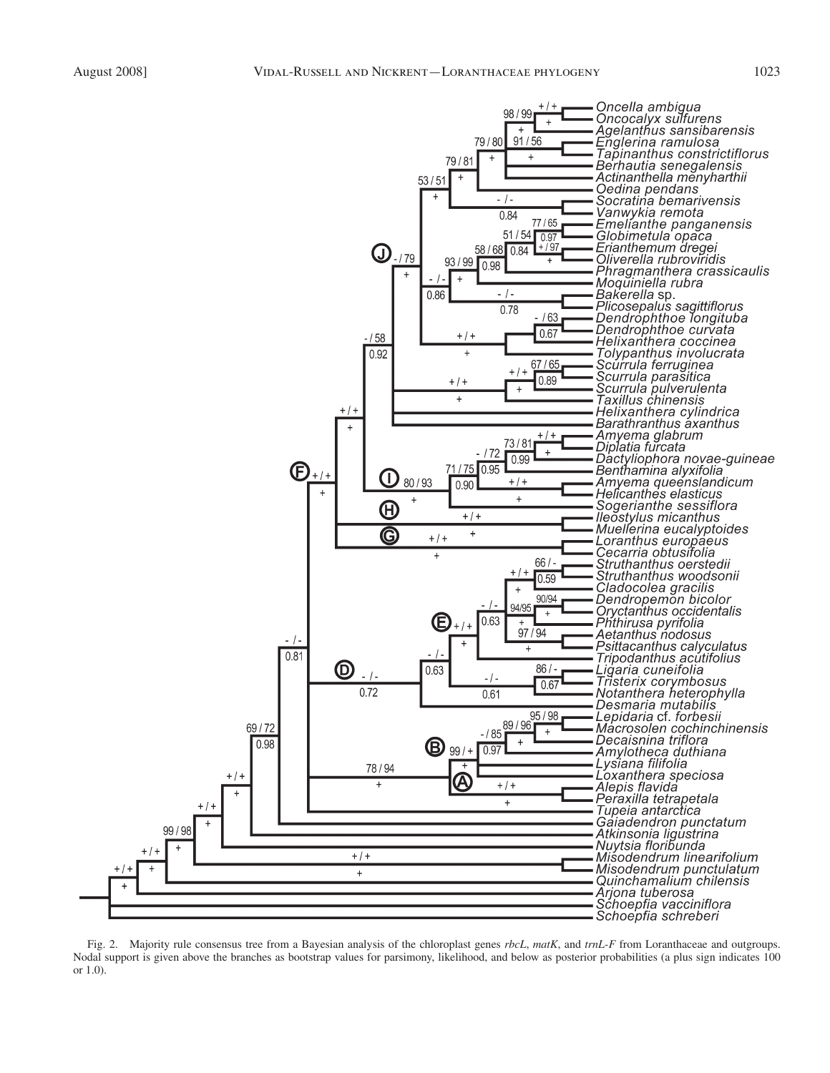

 Fig. 2. Majority rule consensus tree from a Bayesian analysis of the chloroplast genes *rbcL* , *matK* , and *trnL-F* from Loranthaceae and outgroups. Nodal support is given above the branches as bootstrap values for parsimony, likelihood, and below as posterior probabilities (a plus sign indicates 100 or 1.0).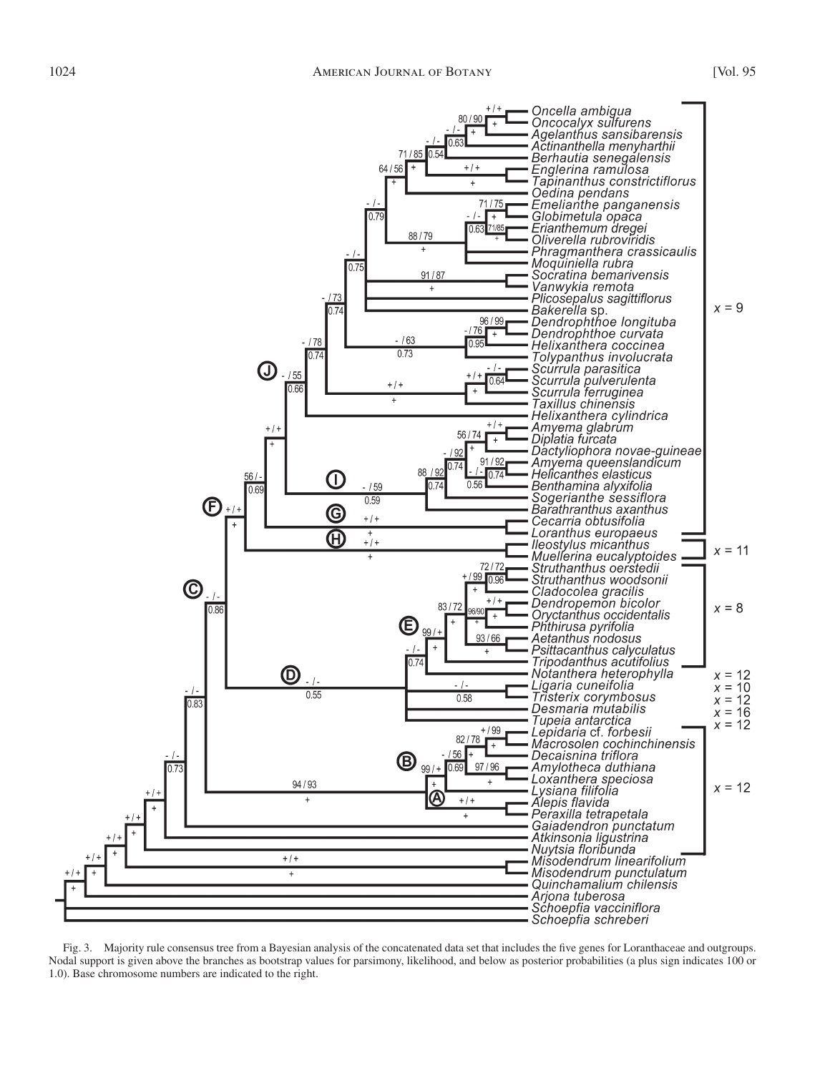

Fig. 3. Majority rule consensus tree from a Bayesian analysis of the concatenated data set that includes the five genes for Loranthaceae and outgroups. Nodal support is given above the branches as bootstrap values for parsimony, likelihood, and below as posterior probabilities (a plus sign indicates 100 or 1.0). Base chromosome numbers are indicated to the right.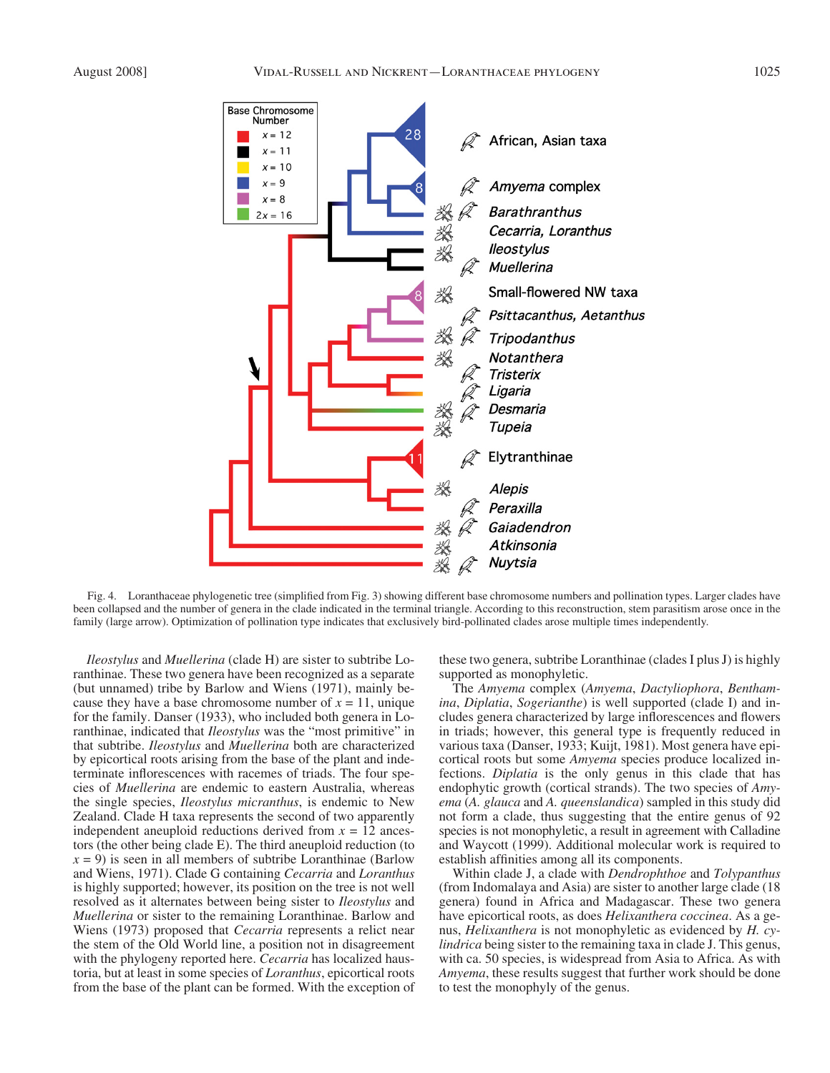

Fig. 4. Loranthaceae phylogenetic tree (simplified from Fig. 3) showing different base chromosome numbers and pollination types. Larger clades have been collapsed and the number of genera in the clade indicated in the terminal triangle. According to this reconstruction, stem parasitism arose once in the family (large arrow). Optimization of pollination type indicates that exclusively bird-pollinated clades arose multiple times independently.

Nuytsia

*Ileostylus* and *Muellerina* (clade H) are sister to subtribe Loranthinae. These two genera have been recognized as a separate (but unnamed) tribe by Barlow and Wiens (1971), mainly because they have a base chromosome number of  $x = 11$ , unique for the family. Danser (1933), who included both genera in Loranthinae, indicated that *Ileostylus* was the "most primitive" in that subtribe. *Ileostylus* and *Muellerina* both are characterized by epicortical roots arising from the base of the plant and indeterminate inflorescences with racemes of triads. The four species of *Muellerina* are endemic to eastern Australia, whereas the single species, *Ileostylus micranthus*, is endemic to New Zealand. Clade H taxa represents the second of two apparently independent aneuploid reductions derived from  $x = 12$  ancestors (the other being clade E). The third aneuploid reduction (to  $x = 9$ ) is seen in all members of subtribe Loranthinae (Barlow and Wiens, 1971 ). Clade G containing *Cecarria* and *Loranthus* is highly supported; however, its position on the tree is not well resolved as it alternates between being sister to *Ileostylus* and *Muellerina* or sister to the remaining Loranthinae. Barlow and Wiens (1973) proposed that *Cecarria* represents a relict near the stem of the Old World line, a position not in disagreement with the phylogeny reported here. *Cecarria* has localized haustoria, but at least in some species of *Loranthus* , epicortical roots from the base of the plant can be formed. With the exception of

these two genera, subtribe Loranthinae (clades I plus J) is highly supported as monophyletic.

 The *Amyema* complex ( *Amyema* , *Dactyliophora* , *Benthamina*, *Diplatia*, *Sogerianthe*) is well supported (clade I) and includes genera characterized by large inflorescences and flowers in triads; however, this general type is frequently reduced in various taxa (Danser, 1933; Kuijt, 1981). Most genera have epicortical roots but some *Amyema* species produce localized infections. *Diplatia* is the only genus in this clade that has endophytic growth (cortical strands). The two species of *Amyema* ( *A. glauca* and *A. queenslandica* ) sampled in this study did not form a clade, thus suggesting that the entire genus of 92 species is not monophyletic, a result in agreement with Calladine and Waycott (1999). Additional molecular work is required to establish affinities among all its components.

 Within clade J, a clade with *Dendrophthoe* and *Tolypanthus* (from Indomalaya and Asia) are sister to another large clade (18 genera) found in Africa and Madagascar. These two genera have epicortical roots, as does *Helixanthera coccinea* . As a genus, *Helixanthera* is not monophyletic as evidenced by *H. cylindrica* being sister to the remaining taxa in clade J. This genus, with ca. 50 species, is widespread from Asia to Africa. As with *Amyema* , these results suggest that further work should be done to test the monophyly of the genus.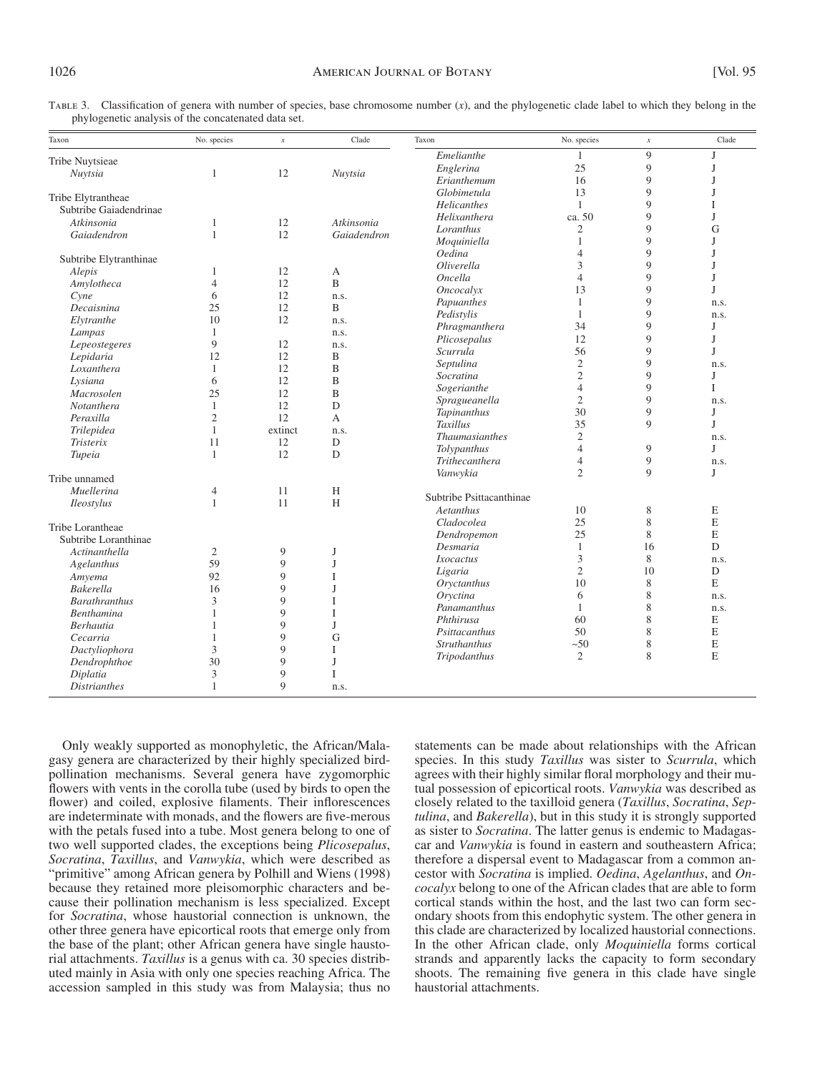TABLE 3. Classification of genera with number of species, base chromosome number (*x*), and the phylogenetic clade label to which they belong in the phylogenetic analysis of the concatenated data set.

| 9<br>Emelianthe<br>$\mathbf{1}$<br>Tribe Nuytsieae<br>25<br>9<br>Englerina<br>12<br>$\mathbf{1}$<br>Nuytsia<br>Nuytsia<br>9<br>16<br>Erianthemum<br>9<br>Globimetula<br>13<br>Tribe Elytrantheae<br>9<br>$\mathbf{1}$<br><b>Helicanthes</b><br>Subtribe Gaiadendrinae<br>9<br>ca. 50<br>Helixanthera<br>Atkinsonia<br>Atkinsonia<br>12<br>1<br>9<br>$\overline{2}$<br>Loranthus<br>12<br>Gaiadendron<br>$\mathbf{1}$<br>Gaiadendron<br>9<br>Moquiniella<br>1<br>9<br>Oedina<br>4<br>Subtribe Elytranthinae<br>9<br>Oliverella<br>3<br>12<br>Alepis<br>1<br>А<br>9<br>Oncella<br>4<br>B<br>$\overline{4}$<br>12<br>Amylotheca<br>9<br><i>Oncocalyx</i><br>13<br>6<br>12<br>Cyne<br>n.s.<br>9<br>Papuanthes<br>1<br>$\mathbf B$<br>Decaisnina<br>25<br>12<br>9<br>Pedistylis<br>1 | J<br>J<br>J<br>I<br>J<br>G<br>J<br>J<br>J |
|---------------------------------------------------------------------------------------------------------------------------------------------------------------------------------------------------------------------------------------------------------------------------------------------------------------------------------------------------------------------------------------------------------------------------------------------------------------------------------------------------------------------------------------------------------------------------------------------------------------------------------------------------------------------------------------------------------------------------------------------------------------------------------|-------------------------------------------|
|                                                                                                                                                                                                                                                                                                                                                                                                                                                                                                                                                                                                                                                                                                                                                                                 |                                           |
|                                                                                                                                                                                                                                                                                                                                                                                                                                                                                                                                                                                                                                                                                                                                                                                 |                                           |
|                                                                                                                                                                                                                                                                                                                                                                                                                                                                                                                                                                                                                                                                                                                                                                                 |                                           |
|                                                                                                                                                                                                                                                                                                                                                                                                                                                                                                                                                                                                                                                                                                                                                                                 |                                           |
|                                                                                                                                                                                                                                                                                                                                                                                                                                                                                                                                                                                                                                                                                                                                                                                 |                                           |
|                                                                                                                                                                                                                                                                                                                                                                                                                                                                                                                                                                                                                                                                                                                                                                                 |                                           |
|                                                                                                                                                                                                                                                                                                                                                                                                                                                                                                                                                                                                                                                                                                                                                                                 |                                           |
|                                                                                                                                                                                                                                                                                                                                                                                                                                                                                                                                                                                                                                                                                                                                                                                 |                                           |
|                                                                                                                                                                                                                                                                                                                                                                                                                                                                                                                                                                                                                                                                                                                                                                                 |                                           |
|                                                                                                                                                                                                                                                                                                                                                                                                                                                                                                                                                                                                                                                                                                                                                                                 |                                           |
|                                                                                                                                                                                                                                                                                                                                                                                                                                                                                                                                                                                                                                                                                                                                                                                 | J                                         |
|                                                                                                                                                                                                                                                                                                                                                                                                                                                                                                                                                                                                                                                                                                                                                                                 | J                                         |
|                                                                                                                                                                                                                                                                                                                                                                                                                                                                                                                                                                                                                                                                                                                                                                                 | n.s.                                      |
|                                                                                                                                                                                                                                                                                                                                                                                                                                                                                                                                                                                                                                                                                                                                                                                 | n.s.                                      |
| 10<br>12<br>Elytranthe<br>n.s.<br>9<br>Phragmanthera<br>34<br>$\mathbf{1}$                                                                                                                                                                                                                                                                                                                                                                                                                                                                                                                                                                                                                                                                                                      | J                                         |
| Lampas<br>n.s.<br>9<br>12<br>Plicosepalus<br>9                                                                                                                                                                                                                                                                                                                                                                                                                                                                                                                                                                                                                                                                                                                                  | J                                         |
| 12<br>Lepeostegeres<br>n.s.<br>$\overline{9}$<br>56<br>Scurrula                                                                                                                                                                                                                                                                                                                                                                                                                                                                                                                                                                                                                                                                                                                 | J                                         |
| 12<br>Lepidaria<br>12<br>B<br>9<br>$\mathfrak{2}$<br>Septulina                                                                                                                                                                                                                                                                                                                                                                                                                                                                                                                                                                                                                                                                                                                  | n.s.                                      |
| $\, {\bf B}$<br>Loxanthera<br>$\mathbf{1}$<br>12<br>9<br>Socratina<br>2                                                                                                                                                                                                                                                                                                                                                                                                                                                                                                                                                                                                                                                                                                         | J                                         |
| 6<br>12<br>B<br>Lysiana<br>9<br>Sogerianthe<br>4                                                                                                                                                                                                                                                                                                                                                                                                                                                                                                                                                                                                                                                                                                                                | I                                         |
| 25<br>12<br>B<br>Macrosolen<br>9<br>$\mathfrak{2}$<br>Spragueanella                                                                                                                                                                                                                                                                                                                                                                                                                                                                                                                                                                                                                                                                                                             | n.s.                                      |
| 12<br>$\mathbf D$<br>$\mathbf{1}$<br><b>Notanthera</b><br>9<br>30<br>Tapinanthus                                                                                                                                                                                                                                                                                                                                                                                                                                                                                                                                                                                                                                                                                                | J                                         |
| $\mathfrak{2}$<br>12<br>Peraxilla<br>А<br>9<br>35<br><b>Taxillus</b>                                                                                                                                                                                                                                                                                                                                                                                                                                                                                                                                                                                                                                                                                                            | J                                         |
| Trilepidea<br>$\mathbf{1}$<br>extinct<br>n.s.<br>$\mathfrak{2}$<br><b>Thaumasianthes</b>                                                                                                                                                                                                                                                                                                                                                                                                                                                                                                                                                                                                                                                                                        | n.s.                                      |
| Tristerix<br>11<br>12<br>D<br>$\overline{4}$<br>9<br>Tolypanthus                                                                                                                                                                                                                                                                                                                                                                                                                                                                                                                                                                                                                                                                                                                | J                                         |
| 12<br>D<br>$\mathbf{1}$<br>Tupeia<br>9<br>Trithecanthera<br>4                                                                                                                                                                                                                                                                                                                                                                                                                                                                                                                                                                                                                                                                                                                   | n.s.                                      |
| $\overline{2}$<br>9<br>Vanwykia                                                                                                                                                                                                                                                                                                                                                                                                                                                                                                                                                                                                                                                                                                                                                 | J                                         |
| Tribe unnamed                                                                                                                                                                                                                                                                                                                                                                                                                                                                                                                                                                                                                                                                                                                                                                   |                                           |
| Muellerina<br>11<br>H<br>4<br>Subtribe Psittacanthinae                                                                                                                                                                                                                                                                                                                                                                                                                                                                                                                                                                                                                                                                                                                          |                                           |
| $\mathbf{1}$<br>11<br>H<br>Ileostylus                                                                                                                                                                                                                                                                                                                                                                                                                                                                                                                                                                                                                                                                                                                                           |                                           |
| 8<br>Aetanthus<br>10                                                                                                                                                                                                                                                                                                                                                                                                                                                                                                                                                                                                                                                                                                                                                            | E                                         |
| 8<br>25<br>Cladocolea<br>Tribe Lorantheae                                                                                                                                                                                                                                                                                                                                                                                                                                                                                                                                                                                                                                                                                                                                       | E                                         |
| 25<br>8<br>Dendropemon<br>Subtribe Loranthinae                                                                                                                                                                                                                                                                                                                                                                                                                                                                                                                                                                                                                                                                                                                                  | $\mathbf E$                               |
| $\mathbf{1}$<br>16<br>Desmaria<br>Actinanthella<br>$\mathfrak{2}$<br>9<br>J                                                                                                                                                                                                                                                                                                                                                                                                                                                                                                                                                                                                                                                                                                     | D                                         |
| 8<br>3<br><b>Ixocactus</b><br>59<br>9<br>Agelanthus<br>J                                                                                                                                                                                                                                                                                                                                                                                                                                                                                                                                                                                                                                                                                                                        | n.s.                                      |
| $\overline{2}$<br>10<br>Ligaria<br>92<br>9<br>I<br>Amvema                                                                                                                                                                                                                                                                                                                                                                                                                                                                                                                                                                                                                                                                                                                       | D                                         |
| 8<br>Oryctanthus<br>10<br>9<br>16<br>J<br>Bakerella                                                                                                                                                                                                                                                                                                                                                                                                                                                                                                                                                                                                                                                                                                                             | E                                         |
| 8<br>Oryctina<br>6<br>9<br><b>Barathranthus</b><br>3<br>I                                                                                                                                                                                                                                                                                                                                                                                                                                                                                                                                                                                                                                                                                                                       | n.s.                                      |
| 8<br>Panamanthus<br>$\mathbf{1}$<br>$\mathbf{1}$<br>9<br>I<br><b>Benthamina</b>                                                                                                                                                                                                                                                                                                                                                                                                                                                                                                                                                                                                                                                                                                 | n.s.                                      |
| 8<br>60<br>Phthirusa<br>9<br>Berhautia<br>J<br>1                                                                                                                                                                                                                                                                                                                                                                                                                                                                                                                                                                                                                                                                                                                                | E                                         |
| 8<br>50<br>Psittacanthus<br>9<br>G<br>Cecarria<br>1                                                                                                                                                                                                                                                                                                                                                                                                                                                                                                                                                                                                                                                                                                                             | E                                         |
| 8<br><b>Struthanthus</b><br>~50<br>3<br>9<br>I<br>Dactyliophora                                                                                                                                                                                                                                                                                                                                                                                                                                                                                                                                                                                                                                                                                                                 | E                                         |
| $\mathfrak{2}$<br>8<br>Tripodanthus<br>30<br>9<br>Dendrophthoe<br>J                                                                                                                                                                                                                                                                                                                                                                                                                                                                                                                                                                                                                                                                                                             | E                                         |
| 3<br>9<br>Diplatia<br>I                                                                                                                                                                                                                                                                                                                                                                                                                                                                                                                                                                                                                                                                                                                                                         |                                           |
| 9<br><i>Distrianthes</i><br>1<br>n.s.                                                                                                                                                                                                                                                                                                                                                                                                                                                                                                                                                                                                                                                                                                                                           |                                           |

 Only weakly supported as monophyletic, the African/Malagasy genera are characterized by their highly specialized birdpollination mechanisms. Several genera have zygomorphic flowers with vents in the corolla tube (used by birds to open the flower) and coiled, explosive filaments. Their inflorescences are indeterminate with monads, and the flowers are five-merous with the petals fused into a tube. Most genera belong to one of two well supported clades, the exceptions being *Plicosepalus* , *Socratina* , *Taxillus* , and *Vanwykia* , which were described as "primitive" among African genera by Polhill and Wiens (1998) because they retained more pleisomorphic characters and because their pollination mechanism is less specialized. Except for *Socratina*, whose haustorial connection is unknown, the other three genera have epicortical roots that emerge only from the base of the plant; other African genera have single haustorial attachments. *Taxillus* is a genus with ca. 30 species distributed mainly in Asia with only one species reaching Africa. The accession sampled in this study was from Malaysia; thus no

statements can be made about relationships with the African species. In this study *Taxillus* was sister to *Scurrula*, which agrees with their highly similar floral morphology and their mutual possession of epicortical roots. *Vanwykia* was described as closely related to the taxilloid genera ( *Taxillus* , *Socratina* , *Septulina* , and *Bakerella* ), but in this study it is strongly supported as sister to *Socratina*. The latter genus is endemic to Madagascar and *Vanwykia* is found in eastern and southeastern Africa; therefore a dispersal event to Madagascar from a common ancestor with *Socratina* is implied. *Oedina* , *Agelanthus* , and *Oncocalyx* belong to one of the African clades that are able to form cortical stands within the host, and the last two can form secondary shoots from this endophytic system. The other genera in this clade are characterized by localized haustorial connections. In the other African clade, only *Moquiniella* forms cortical strands and apparently lacks the capacity to form secondary shoots. The remaining five genera in this clade have single haustorial attachments.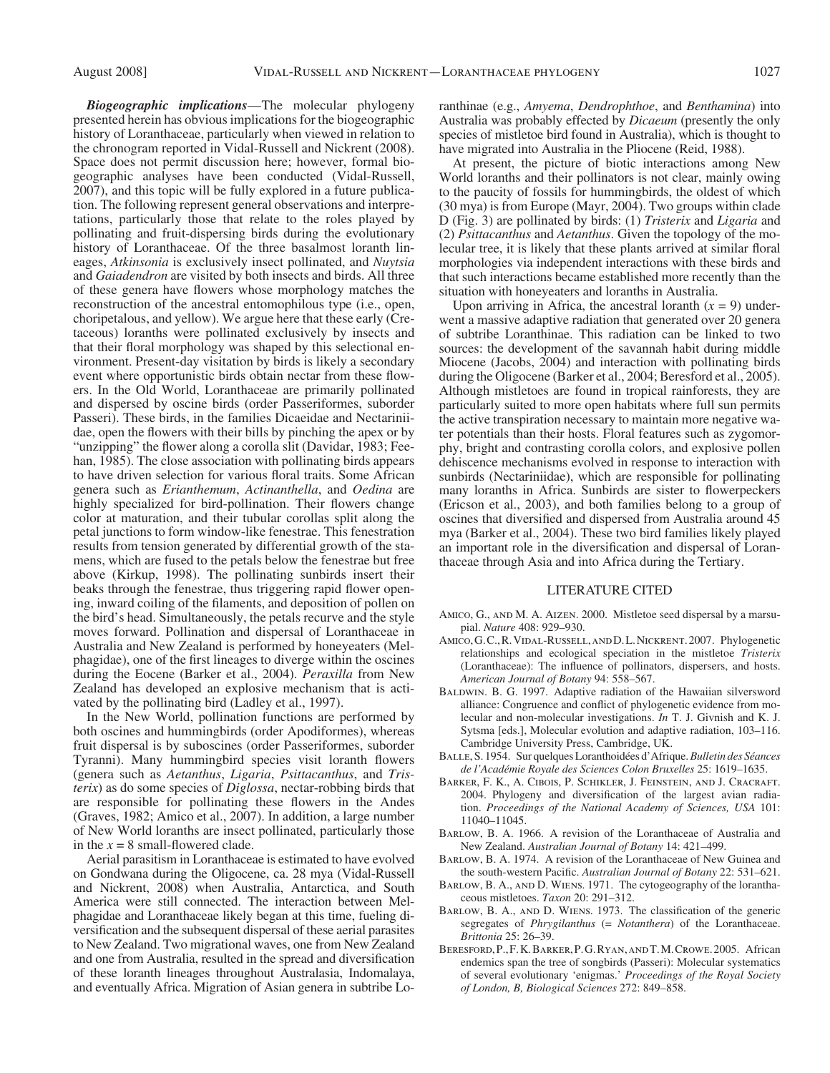*Biogeographic implications*— The molecular phylogeny presented herein has obvious implications for the biogeographic history of Loranthaceae, particularly when viewed in relation to the chronogram reported in Vidal-Russell and Nickrent (2008) . Space does not permit discussion here; however, formal biogeographic analyses have been conducted (Vidal-Russell, 2007), and this topic will be fully explored in a future publication. The following represent general observations and interpretations, particularly those that relate to the roles played by pollinating and fruit-dispersing birds during the evolutionary history of Loranthaceae. Of the three basalmost loranth lineages, *Atkinsonia* is exclusively insect pollinated, and *Nuytsia* and *Gaiadendron* are visited by both insects and birds. All three of these genera have flowers whose morphology matches the reconstruction of the ancestral entomophilous type (i.e., open, choripetalous, and yellow). We argue here that these early (Cretaceous) loranths were pollinated exclusively by insects and that their floral morphology was shaped by this selectional environment. Present-day visitation by birds is likely a secondary event where opportunistic birds obtain nectar from these flowers. In the Old World, Loranthaceae are primarily pollinated and dispersed by oscine birds (order Passeriformes, suborder Passeri). These birds, in the families Dicaeidae and Nectariniidae, open the flowers with their bills by pinching the apex or by " unzipping" the flower along a corolla slit (Davidar, 1983; Feehan, 1985). The close association with pollinating birds appears to have driven selection for various floral traits. Some African genera such as *Erianthemum* , *Actinanthella* , and *Oedina* are highly specialized for bird-pollination. Their flowers change color at maturation, and their tubular corollas split along the petal junctions to form window-like fenestrae. This fenestration results from tension generated by differential growth of the stamens, which are fused to the petals below the fenestrae but free above (Kirkup, 1998). The pollinating sunbirds insert their beaks through the fenestrae, thus triggering rapid flower opening, inward coiling of the filaments, and deposition of pollen on the bird's head. Simultaneously, the petals recurve and the style moves forward. Pollination and dispersal of Loranthaceae in Australia and New Zealand is performed by honeyeaters (Melphagidae), one of the first lineages to diverge within the oscines during the Eocene (Barker et al., 2004). *Peraxilla* from New Zealand has developed an explosive mechanism that is acti-

vated by the pollinating bird (Ladley et al., 1997). In the New World, pollination functions are performed by both oscines and hummingbirds (order Apodiformes), whereas fruit dispersal is by suboscines (order Passeriformes, suborder Tyranni). Many hummingbird species visit loranth flowers (genera such as *Aetanthus* , *Ligaria* , *Psittacanthus* , and *Tristerix* ) as do some species of *Diglossa* , nectar-robbing birds that are responsible for pollinating these flowers in the Andes (Graves, 1982; Amico et al., 2007). In addition, a large number of New World loranths are insect pollinated, particularly those in the  $x = 8$  small-flowered clade.

 Aerial parasitism in Loranthaceae is estimated to have evolved on Gondwana during the Oligocene, ca. 28 mya ( Vidal-Russell and Nickrent, 2008) when Australia, Antarctica, and South America were still connected. The interaction between Melphagidae and Loranthaceae likely began at this time, fueling diversification and the subsequent dispersal of these aerial parasites to New Zealand. Two migrational waves, one from New Zealand and one from Australia, resulted in the spread and diversification of these loranth lineages throughout Australasia, Indomalaya, and eventually Africa. Migration of Asian genera in subtribe Lo-

ranthinae (e.g., *Amyema* , *Dendrophthoe* , and *Benthamina* ) into Australia was probably effected by *Dicaeum* (presently the only species of mistletoe bird found in Australia), which is thought to have migrated into Australia in the Pliocene (Reid, 1988).

 At present, the picture of biotic interactions among New World loranths and their pollinators is not clear, mainly owing to the paucity of fossils for hummingbirds, the oldest of which (30 mya) is from Europe ( Mayr, 2004 ). Two groups within clade D ( Fig. 3 ) are pollinated by birds: (1) *Tristerix* and *Ligaria* and (2) *Psittacanthus* and *Aetanthus* . Given the topology of the molecular tree, it is likely that these plants arrived at similar floral morphologies via independent interactions with these birds and that such interactions became established more recently than the situation with honeyeaters and loranths in Australia.

Upon arriving in Africa, the ancestral loranth  $(x = 9)$  underwent a massive adaptive radiation that generated over 20 genera of subtribe Loranthinae. This radiation can be linked to two sources: the development of the savannah habit during middle Miocene (Jacobs, 2004) and interaction with pollinating birds during the Oligocene (Barker et al., 2004; Beresford et al., 2005). Although mistletoes are found in tropical rainforests, they are particularly suited to more open habitats where full sun permits the active transpiration necessary to maintain more negative water potentials than their hosts. Floral features such as zygomorphy, bright and contrasting corolla colors, and explosive pollen dehiscence mechanisms evolved in response to interaction with sunbirds (Nectariniidae), which are responsible for pollinating many loranths in Africa. Sunbirds are sister to flowerpeckers (Ericson et al., 2003), and both families belong to a group of oscines that diversified and dispersed from Australia around 45 mya (Barker et al., 2004). These two bird families likely played an important role in the diversification and dispersal of Loranthaceae through Asia and into Africa during the Tertiary.

#### LITERATURE CITED

- AMICO, G., AND M. A. AIZEN. 2000. Mistletoe seed dispersal by a marsupial. *Nature* 408: 929-930.
- AMICO, G. C., R. VIDAL-RUSSELL, AND D. L. NICKRENT. 2007. Phylogenetic relationships and ecological speciation in the mistletoe *Tristerix* (Loranthaceae): The influence of pollinators, dispersers, and hosts. American Journal of Botany 94: 558-567.
- BALDWIN. B. G. 1997. Adaptive radiation of the Hawaiian silversword alliance: Congruence and conflict of phylogenetic evidence from molecular and non-molecular investigations. *In* T. J. Givnish and K. J. Sytsma [eds.], Molecular evolution and adaptive radiation, 103-116. Cambridge University Press, Cambridge, UK.
- BALLE, S. 1954. Sur quelques Loranthoidées d'Afrique. *Bulletin des Séances de l ' Acad é mie Royale des Sciences Colon Bruxelles* 25: 1619 – 1635.
- BARKER, F. K., A. CIBOIS, P. SCHIKLER, J. FEINSTEIN, AND J. CRACRAFT. 2004. Phylogeny and diversification of the largest avian radiation. Proceedings of the National Academy of Sciences, USA 101: 11040 – 11045.
- Barlow, B. A. 1966 . A revision of the Loranthaceae of Australia and New Zealand. Australian Journal of Botany 14: 421-499.
- Barlow, B. A. 1974 . A revision of the Loranthaceae of New Guinea and the south-western Pacific. Australian Journal of Botany 22: 531-621.
- BARLOW, B. A., AND D. WIENS. 1971. The cytogeography of the loranthaceous mistletoes. *Taxon* 20: 291-312.
- BARLOW, B. A., AND D. WIENS. 1973. The classification of the generic segregates of *Phrygilanthus* (= *Notanthera*) of the Loranthaceae. *Brittonia* 25: 26-39.
- Beresford, P., F. K. Barker, P. G. Ryan, and T. M. Crowe . 2005 . African endemics span the tree of songbirds (Passeri): Molecular systematics of several evolutionary 'enigmas.' Proceedings of the Royal Society *of London, B, Biological Sciences* 272: 849 – 858.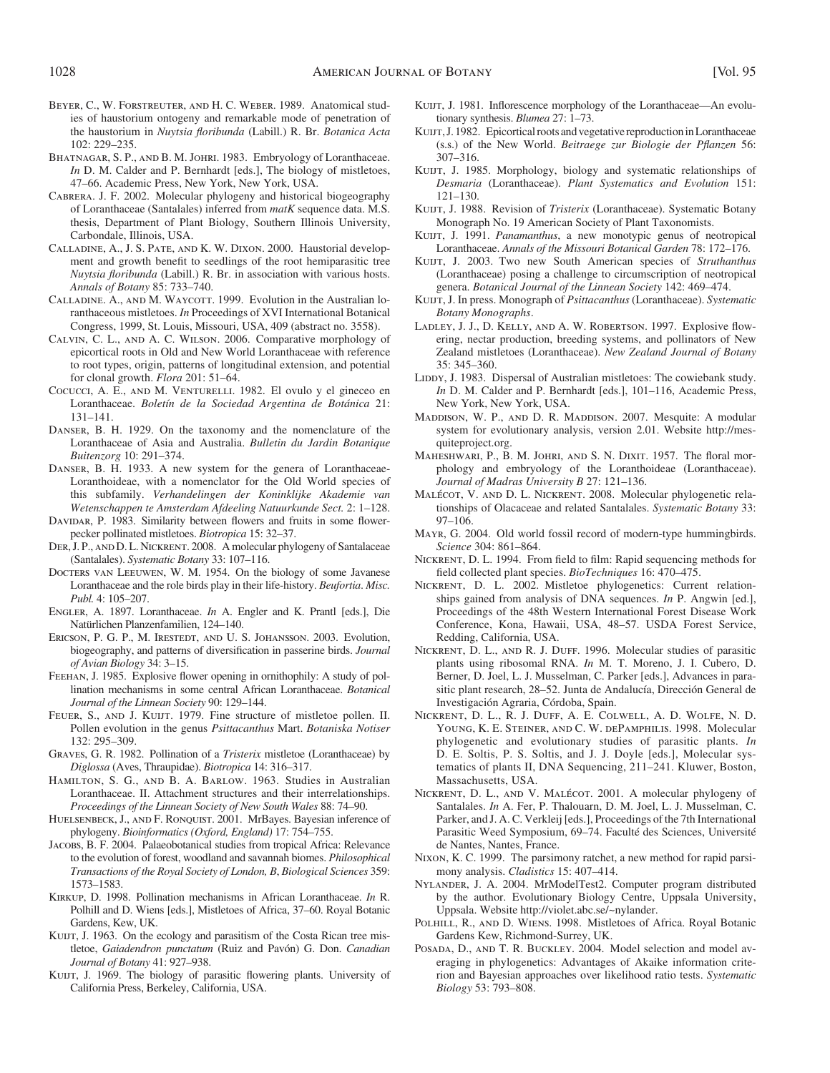- BEYER, C., W. FORSTREUTER, AND H. C. WEBER. 1989. Anatomical studies of haustorium ontogeny and remarkable mode of penetration of the haustorium in *Nuytsia floribunda* (Labill.) R. Br. *Botanica Acta* 102: 229-235.
- BHATNAGAR, S. P., AND B. M. JOHRI. 1983. Embryology of Loranthaceae. *In* D. M. Calder and P. Bernhardt [eds.], The biology of mistletoes, 47-66. Academic Press, New York, New York, USA.
- CABRERA. J. F. 2002. Molecular phylogeny and historical biogeography of Loranthaceae (Santalales) inferred from *matK* sequence data. M.S. thesis, Department of Plant Biology, Southern Illinois University, Carbondale, Illinois, USA.
- CALLADINE, A., J. S. PATE, AND K. W. DIXON. 2000. Haustorial development and growth benefit to seedlings of the root hemiparasitic tree *Nuytsia floribunda* (Labill.) R. Br. in association with various hosts. *Annals of Botany* 85: 733-740.
- CALLADINE. A., AND M. WAYCOTT. 1999. Evolution in the Australian loranthaceous mistletoes. *In* Proceedings of XVI International Botanical Congress, 1999, St. Louis, Missouri, USA, 409 (abstract no. 3558).
- CALVIN, C. L., AND A. C. WILSON. 2006. Comparative morphology of epicortical roots in Old and New World Loranthaceae with reference to root types, origin, patterns of longitudinal extension, and potential for clonal growth. *Flora* 201: 51-64.
- Cocucci, A. E., AND M. VENTURELLI. 1982. El ovulo y el gineceo en Loranthaceae. *Boletín de la Sociedad Argentina de Botánica* 21:  $131 - 141.$
- DANSER, B. H. 1929. On the taxonomy and the nomenclature of the Loranthaceae of Asia and Australia. *Bulletin du Jardin Botanique Buitenzorg* 10: 291-374.
- DANSER, B. H. 1933. A new system for the genera of Loranthaceae-Loranthoideae, with a nomenclator for the Old World species of this subfamily. *Verhandelingen der Koninklijke Akademie van*  Wetenschappen te Amsterdam Afdeeling Natuurkunde Sect. 2: 1-128.
- DAVIDAR, P. 1983. Similarity between flowers and fruits in some flowerpecker pollinated mistletoes. *Biotropica* 15: 32–37.
- DER, J. P., AND D. L. NICKRENT. 2008. A molecular phylogeny of Santalaceae (Santalales). *Systematic Botany* 33: 107-116.
- DOCTERS VAN LEEUWEN, W. M. 1954. On the biology of some Javanese Loranthaceae and the role birds play in their life-history. *Beufortia* . *Misc. Publ.* 4: 105–207.
- Engler, A. 1897 . Loranthaceae. *In* A. Engler and K. Prantl [eds.], Die Natürlichen Planzenfamilien, 124-140.
- ERICSON, P. G. P., M. IRESTEDT, AND U. S. JOHANSSON. 2003. Evolution, biogeography, and patterns of diversification in passerine birds. *Journal of Avian Biology* 34: 3-15.
- FEEHAN, J. 1985. Explosive flower opening in ornithophily: A study of pollination mechanisms in some central African Loranthaceae. *Botanical*  Journal of the Linnean Society<sup>90</sup>: 129-144.
- FEUER, S., AND J. KUIJT. 1979. Fine structure of mistletoe pollen. II. Pollen evolution in the genus *Psittacanthus* Mart. *Botaniska Notiser* 132: 295-309.
- Graves, G. R. 1982 . Pollination of a *Tristerix* mistletoe (Loranthaceae) by *Diglossa* (Aves, Thraupidae). *Biotropica* 14 : 316 – 317 .
- HAMILTON, S. G., AND B. A. BARLOW. 1963. Studies in Australian Loranthaceae. II. Attachment structures and their interrelationships. *Proceedings of the Linnean Society of New South Wales* 88 : 74 – 90 .
- HUELSENBECK, J., AND F. RONQUIST. 2001. MrBayes. Bayesian inference of phylogeny. *Bioinformatics (Oxford, England)* 17: 754-755.
- Jacobs, B. F. 2004 . Palaeobotanical studies from tropical Africa: Relevance to the evolution of forest, woodland and savannah biomes. *Philosophical Transactions of the Royal Society of London, B* , *Biological Sciences* 359 : 1573-1583.
- Kirkup, D. 1998 . Pollination mechanisms in African Loranthaceae. *In* R. Polhill and D. Wiens [eds.], Mistletoes of Africa, 37-60. Royal Botanic Gardens, Kew, UK.
- KUIJT, J. 1963. On the ecology and parasitism of the Costa Rican tree mistletoe, *Gaiadendron punctatum* (Ruiz and Pavón) G. Don. *Canadian* Journal of Botany 41: 927-938.
- KUIJT, J. 1969. The biology of parasitic flowering plants. University of California Press, Berkeley, California, USA.
- KUIJT, J. 1981. Inflorescence morphology of the Loranthaceae-An evolutionary synthesis. *Blumea* 27: 1-73.
- KUIJT, J. 1982. Epicortical roots and vegetative reproduction in Loranthaceae (s.s.) of the New World. *Beitraege zur Biologie der Pflanzen* 56: 307-316.
- KUIJT, J. 1985. Morphology, biology and systematic relationships of *Desmaria* (Loranthaceae). *Plant Systematics and Evolution* 151:  $121 - 130.$
- KUIJT, J. 1988. Revision of *Tristerix* (Loranthaceae). Systematic Botany Monograph No. 19 American Society of Plant Taxonomists.
- KUIJT, J. 1991. *Panamanthus*, a new monotypic genus of neotropical Loranthaceae. Annals of the Missouri Botanical Garden 78: 172-176.
- KUIJT, J. 2003. Two new South American species of *Struthanthus* (Loranthaceae) posing a challenge to circumscription of neotropical genera. *Botanical Journal of the Linnean Society* 142: 469-474.
- KUIJT, J. In press. Monograph of *Psittacanthus* (Loranthaceae). *Systematic Botany Monographs* .
- LADLEY, J. J., D. KELLY, AND A. W. ROBERTSON. 1997. Explosive flowering, nectar production, breeding systems, and pollinators of New Zealand mistletoes (Loranthaceae). *New Zealand Journal of Botany*  $35: 345 - 360.$
- LIDDY, J. 1983. Dispersal of Australian mistletoes: The cowiebank study. *In* D. M. Calder and P. Bernhardt [eds.], 101-116, Academic Press, New York, New York, USA.
- MADDISON, W. P., AND D. R. MADDISON. 2007. Mesquite: A modular system for evolutionary analysis, version 2.01. Website http://mesquiteproject.org.
- MAHESHWARI, P., B. M. JOHRI, AND S. N. DIXIT. 1957. The floral morphology and embryology of the Loranthoideae (Loranthaceae). Journal of Madras University B 27: 121-136.
- MALÉCOT, V. AND D. L. NICKRENT. 2008. Molecular phylogenetic relationships of Olacaceae and related Santalales. *Systematic Botany* 33 :  $97 - 106$ .
- MAYR, G. 2004. Old world fossil record of modern-type hummingbirds. *Science* 304: 861-864.
- NICKRENT, D. L. 1994. From field to film: Rapid sequencing methods for field collected plant species. *BioTechniques* 16: 470-475.
- NICKRENT, D. L. 2002. Mistletoe phylogenetics: Current relationships gained from analysis of DNA sequences. *In* P. Angwin [ed.], Proceedings of the 48th Western International Forest Disease Work Conference, Kona, Hawaii, USA, 48-57. USDA Forest Service, Redding, California, USA.
- NICKRENT, D. L., AND R. J. DUFF. 1996. Molecular studies of parasitic plants using ribosomal RNA. *In* M. T. Moreno, J. I. Cubero, D. Berner, D. Joel, L. J. Musselman, C. Parker [eds.], Advances in parasitic plant research, 28-52. Junta de Andalucía, Dirección General de Investigación Agraria, Córdoba, Spain.
- Nickrent, D. L., R. J. Duff, A. E. Colwell, A. D. Wolfe, N. D. YOUNG, K. E. STEINER, AND C. W. DEPAMPHILIS. 1998. Molecular phylogenetic and evolutionary studies of parasitic plants. *In* D. E. Soltis, P. S. Soltis, and J. J. Doyle [eds.], Molecular systematics of plants II, DNA Sequencing, 211-241. Kluwer, Boston, Massachusetts, USA.
- NICKRENT, D. L., AND V. MALÉCOT. 2001. A molecular phylogeny of Santalales. *In* A. Fer, P. Thalouarn, D. M. Joel, L. J. Musselman, C. Parker, and J. A. C. Verkleij [eds.], Proceedings of the 7th International Parasitic Weed Symposium, 69-74. Faculté des Sciences, Université de Nantes, Nantes, France.
- NIXON, K. C. 1999. The parsimony ratchet, a new method for rapid parsimony analysis. *Cladistics* 15: 407-414.
- Nylander, J. A. 2004 . MrModelTest2. Computer program distributed by the author. Evolutionary Biology Centre, Uppsala University, Uppsala. Website http://violet.abc.se/~nylander.
- POLHILL, R., AND D. WIENS. 1998. Mistletoes of Africa. Royal Botanic Gardens Kew, Richmond-Surrey, UK.
- POSADA, D., AND T. R. BUCKLEY. 2004. Model selection and model averaging in phylogenetics: Advantages of Akaike information criterion and Bayesian approaches over likelihood ratio tests. *Systematic Biology* 53: 793-808.